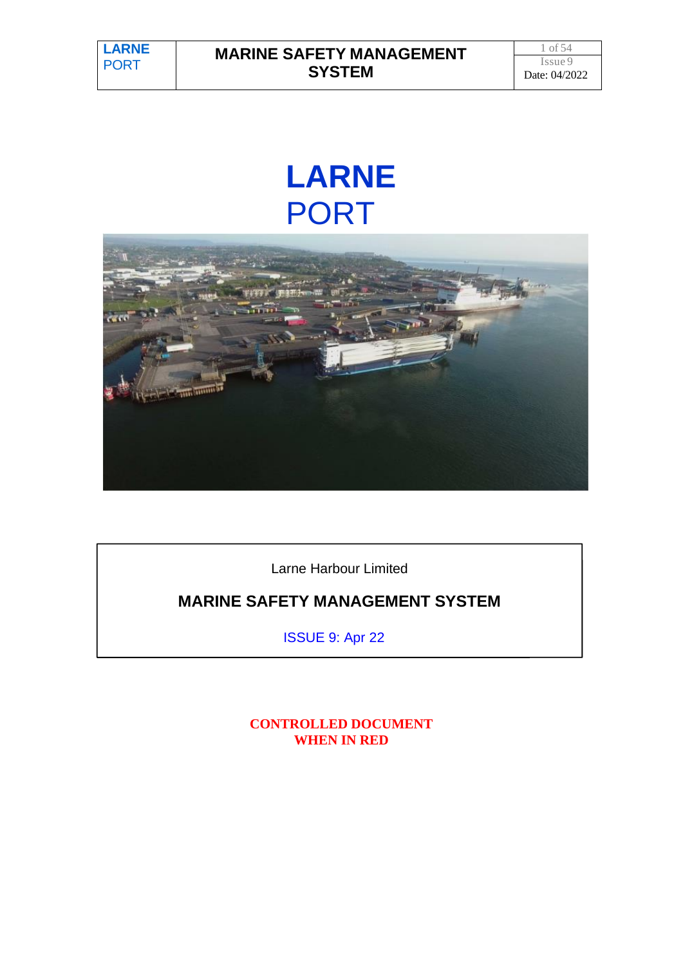# **LARNE** PORT



Larne Harbour Limited

# **MARINE SAFETY MANAGEMENT SYSTEM**

ISSUE 9: Apr 22

**CONTROLLED DOCUMENT WHEN IN RED**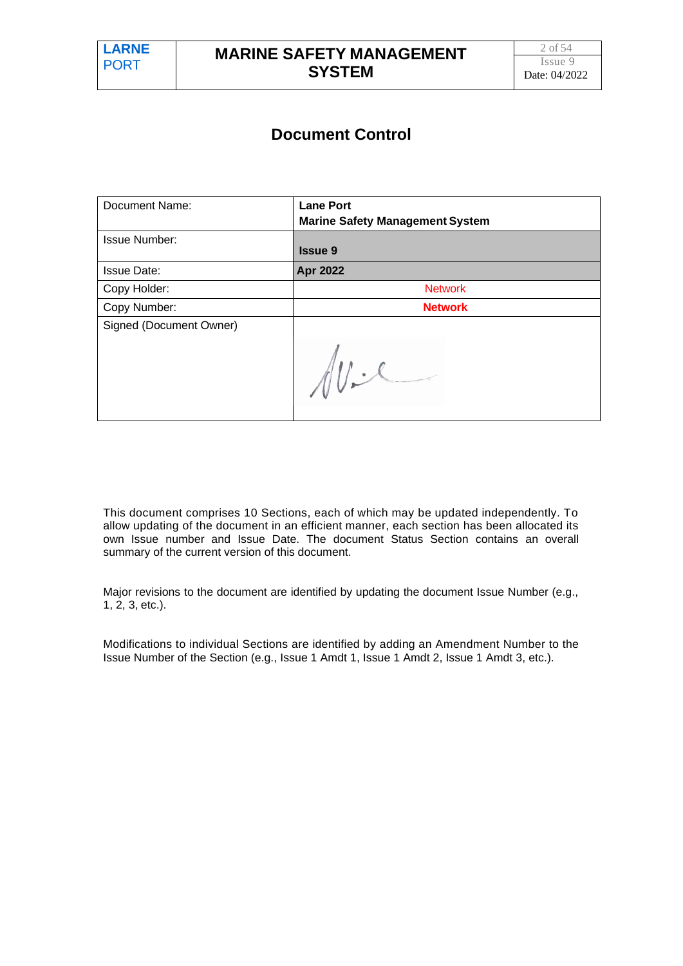# **Document Control**

| Document Name:          | <b>Lane Port</b><br><b>Marine Safety Management System</b> |
|-------------------------|------------------------------------------------------------|
| <b>Issue Number:</b>    | <b>Issue 9</b>                                             |
| <b>Issue Date:</b>      | <b>Apr 2022</b>                                            |
| Copy Holder:            | <b>Network</b>                                             |
| Copy Number:            | <b>Network</b>                                             |
| Signed (Document Owner) |                                                            |
|                         |                                                            |

This document comprises 10 Sections, each of which may be updated independently. To allow updating of the document in an efficient manner, each section has been allocated its own Issue number and Issue Date. The document Status Section contains an overall summary of the current version of this document.

Major revisions to the document are identified by updating the document Issue Number (e.g., 1, 2, 3, etc.).

Modifications to individual Sections are identified by adding an Amendment Number to the Issue Number of the Section (e.g., Issue 1 Amdt 1, Issue 1 Amdt 2, Issue 1 Amdt 3, etc.).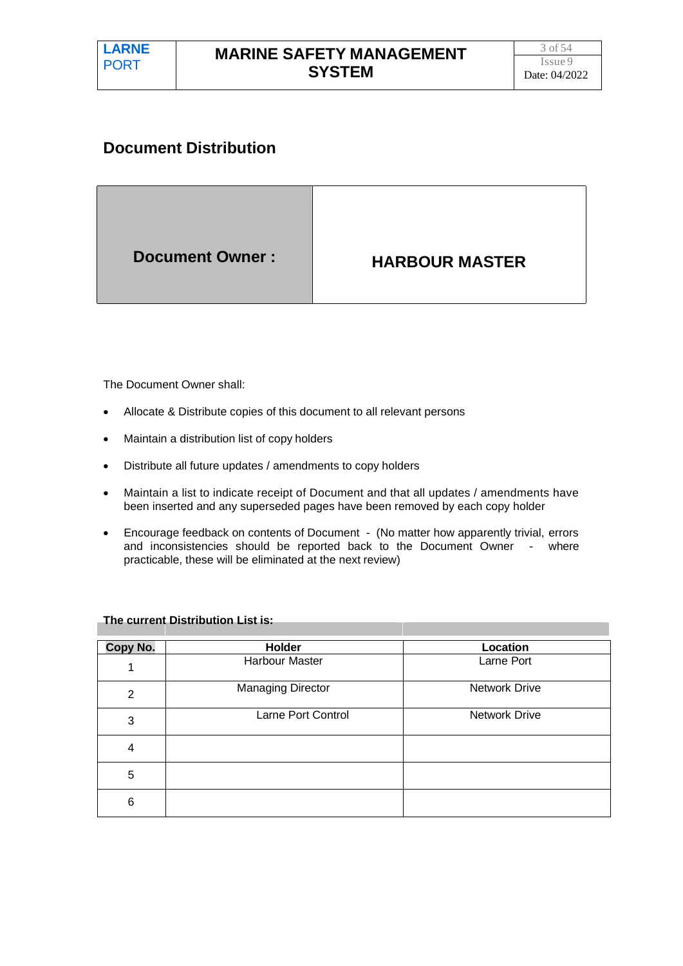# **Document Distribution**

|--|

The Document Owner shall:

- Allocate & Distribute copies of this document to all relevant persons
- Maintain a distribution list of copy holders
- Distribute all future updates / amendments to copy holders
- Maintain a list to indicate receipt of Document and that all updates / amendments have been inserted and any superseded pages have been removed by each copy holder
- Encourage feedback on contents of Document (No matter how apparently trivial, errors and inconsistencies should be reported back to the Document Owner - where practicable, these will be eliminated at the next review)

| Copy No. | Holder                   | Location             |
|----------|--------------------------|----------------------|
|          | <b>Harbour Master</b>    | Larne Port           |
| 2        | <b>Managing Director</b> | <b>Network Drive</b> |
| 3        | Larne Port Control       | <b>Network Drive</b> |
| 4        |                          |                      |
| 5        |                          |                      |
| 6        |                          |                      |

#### **The current Distribution List is:**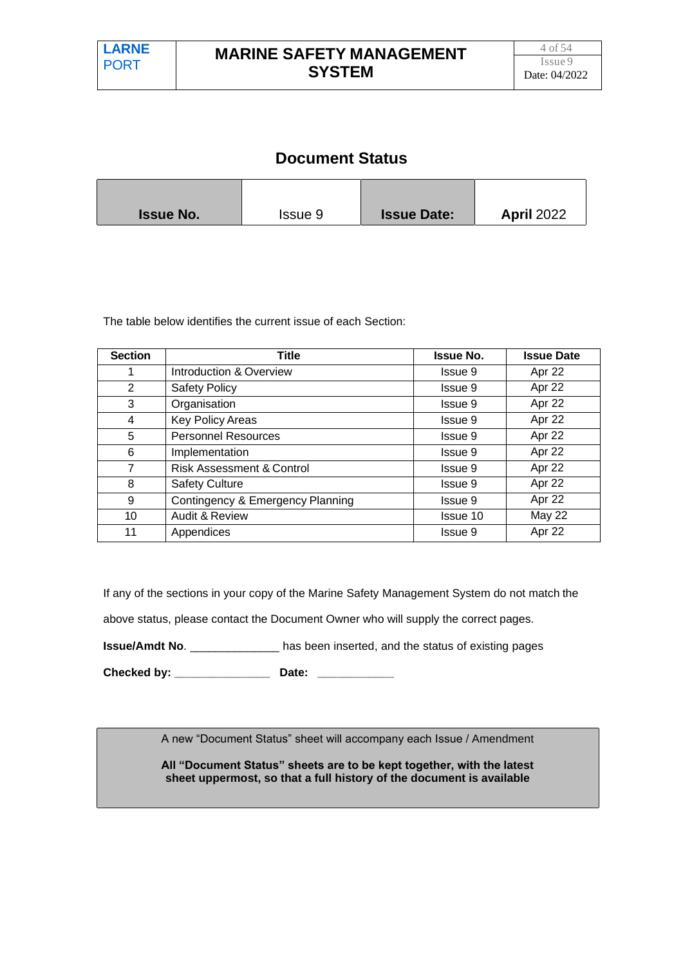# **Document Status**

| <b>Issue No.</b> | Issue 9 | <b>Issue Date:</b> | <b>April 2022</b> |
|------------------|---------|--------------------|-------------------|

The table below identifies the current issue of each Section:

| <b>Section</b> | Title                                | <b>Issue No.</b> | <b>Issue Date</b> |
|----------------|--------------------------------------|------------------|-------------------|
| 1              | Introduction & Overview              | Issue 9          | Apr 22            |
| 2              | <b>Safety Policy</b>                 | <b>Issue 9</b>   | Apr 22            |
| 3              | Organisation                         | <b>Issue 9</b>   | Apr 22            |
| $\overline{4}$ | Key Policy Areas                     | <b>Issue 9</b>   | Apr 22            |
| 5              | <b>Personnel Resources</b>           | <b>Issue 9</b>   | Apr 22            |
| 6              | Implementation                       | Issue 9          | Apr 22            |
| $\overline{7}$ | <b>Risk Assessment &amp; Control</b> | <b>Issue 9</b>   | Apr 22            |
| 8              | <b>Safety Culture</b>                | Issue 9          | Apr 22            |
| 9              | Contingency & Emergency Planning     | <b>Issue 9</b>   | Apr 22            |
| 10             | <b>Audit &amp; Review</b>            | Issue 10         | May 22            |
| 11             | Appendices                           | Issue 9          | Apr 22            |

If any of the sections in your copy of the Marine Safety Management System do not match the

above status, please contact the Document Owner who will supply the correct pages.

**Issue/Amdt No**. \_\_\_\_\_\_\_\_\_\_\_\_\_\_ has been inserted, and the status of existing pages

**Checked by: \_\_\_\_\_\_\_\_\_\_\_\_\_\_\_ Date: \_\_\_\_\_\_\_\_\_\_\_\_**

A new "Document Status" sheet will accompany each Issue / Amendment

**All "Document Status" sheets are to be kept together, with the latest sheet uppermost, so that a full history of the document is available**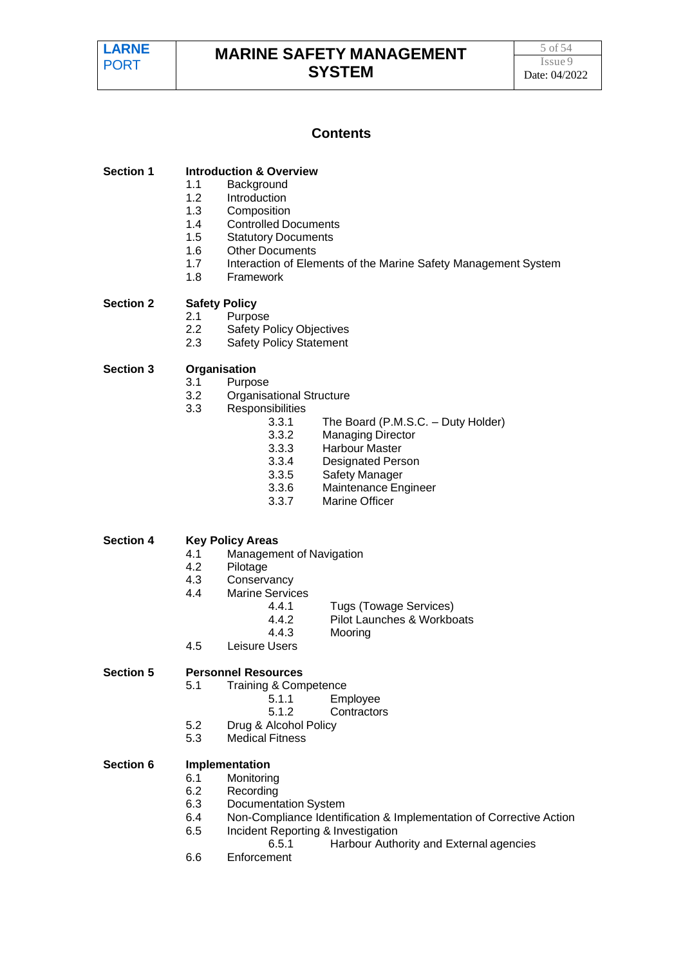### **Contents**

| <b>Section 1</b> | <b>Introduction &amp; Overview</b> |  |
|------------------|------------------------------------|--|
|                  |                                    |  |

- 1.1 Background
- 1.2 Introduction<br>1.3 Composition
- **Composition**
- 1.4 Controlled Documents<br>1.5 Statutory Documents
- **Statutory Documents**
- 1.6 Other Documents
- 1.7 Interaction of Elements of the Marine Safety Management System
- 1.8 Framework

#### **Section 2 Safety Policy**

- 2.1 Purpose
- 2.2 Safety Policy Objectives
- 2.3 Safety Policy Statement

#### **Section 3 Organisation**

- 3.1 Purpose
- 3.2 Organisational Structure
- 3.3 Responsibilities
	- 3.3.1 The Board (P.M.S.C. Duty Holder)
	- 3.3.2 Managing Director
	- 3.3.3 Harbour Master
	- 3.3.4 Designated Person
	- 3.3.5 Safety Manager
	- 3.3.6 Maintenance Engineer
	- 3.3.7 Marine Officer

#### **Section 4 Key Policy Areas**

- 4.1 Management of Navigation
- 4.2 Pilotage
- 4.3 Conservancy
- 4.4 Marine Services
	- 4.4.1 Tugs (Towage Services)
	- 4.4.2 Pilot Launches & Workboats
	- 4.4.3 Mooring
- 4.5 Leisure Users

#### **Section 5 Personnel Resources**

- 5.1 Training & Competence
	- 5.1.1 Employee
	- 5.1.2 Contractors
- 5.2 Drug & Alcohol Policy
- 5.3 Medical Fitness

#### **Section 6 Implementation**

#### 6.1 Monitoring

- 6.2 Recording
- 6.3 Documentation System
- 6.4 Non-Compliance Identification & Implementation of Corrective Action
- 6.5 Incident Reporting & Investigation
	- 6.5.1 Harbour Authority and External agencies
- 6.6 Enforcement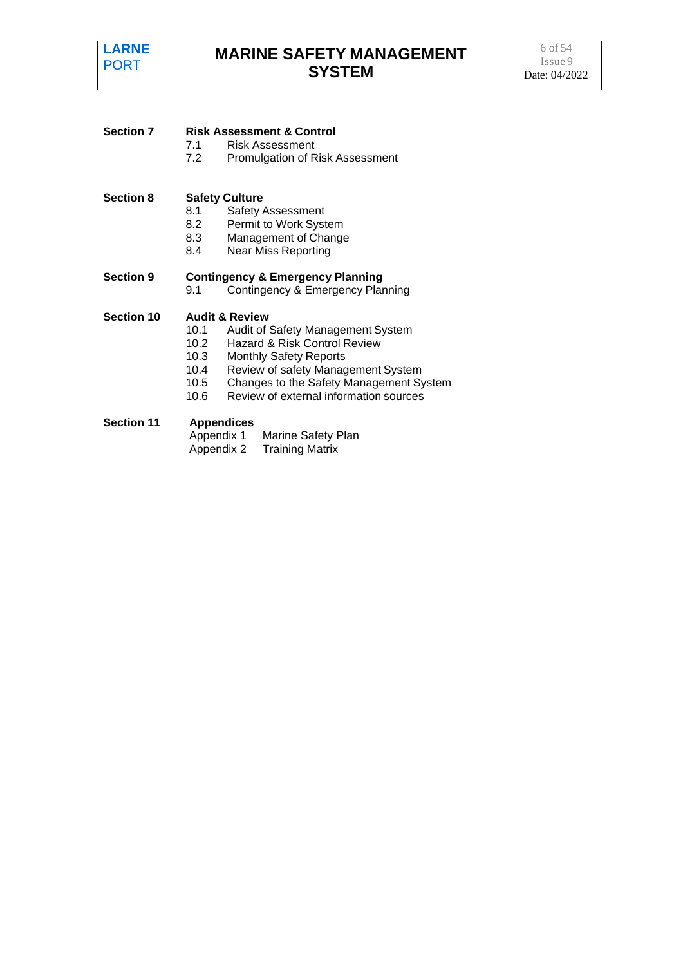| <b>Section 7</b>  |                   | <b>Risk Assessment &amp; Control</b>        |  |  |
|-------------------|-------------------|---------------------------------------------|--|--|
|                   | 7.1               | Risk Assessment                             |  |  |
|                   | 7.2               | Promulgation of Risk Assessment             |  |  |
| <b>Section 8</b>  |                   | <b>Safety Culture</b>                       |  |  |
|                   | 8.1               | <b>Safety Assessment</b>                    |  |  |
|                   | 8.2               | Permit to Work System                       |  |  |
|                   | 8.3               | Management of Change                        |  |  |
|                   | 8.4               | <b>Near Miss Reporting</b>                  |  |  |
| <b>Section 9</b>  |                   | <b>Contingency &amp; Emergency Planning</b> |  |  |
|                   | 9.1               | Contingency & Emergency Planning            |  |  |
| <b>Section 10</b> |                   | <b>Audit &amp; Review</b>                   |  |  |
|                   | 10.1              | Audit of Safety Management System           |  |  |
|                   | 10.2              | Hazard & Risk Control Review                |  |  |
|                   | 10.3              | <b>Monthly Safety Reports</b>               |  |  |
|                   | 10.4              | Review of safety Management System          |  |  |
|                   | 10.5              | Changes to the Safety Management System     |  |  |
|                   | 10.6              | Review of external information sources      |  |  |
| <b>Section 11</b> | <b>Appendices</b> |                                             |  |  |
|                   | Appendix 1        | Marine Safety Plan                          |  |  |
|                   | Appendix 2        | <b>Training Matrix</b>                      |  |  |
|                   |                   |                                             |  |  |
|                   |                   |                                             |  |  |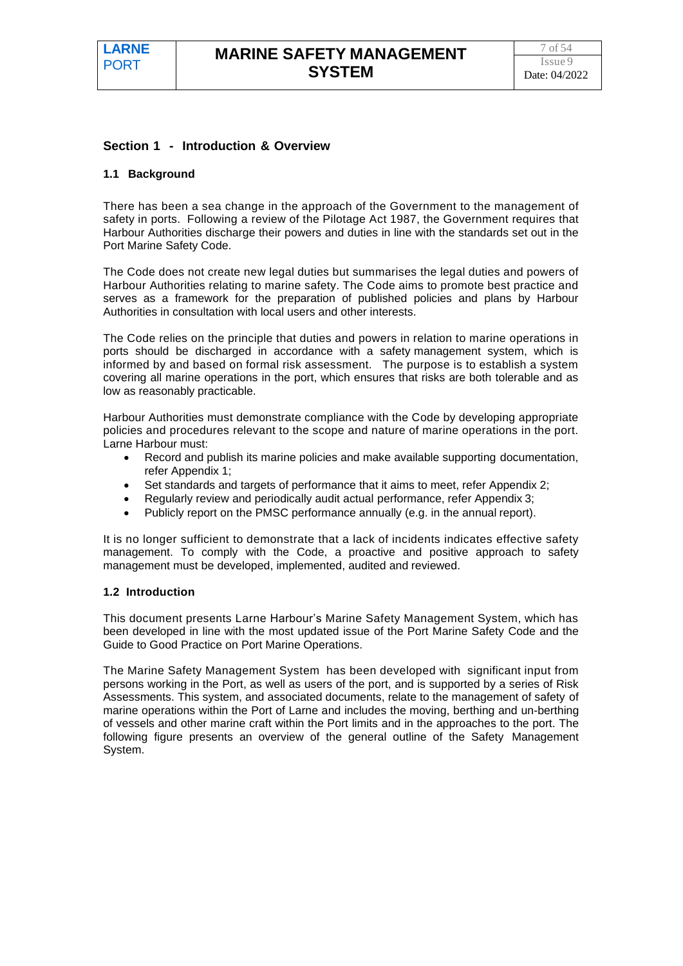#### **Section 1 - Introduction & Overview**

#### **1.1 Background**

There has been a sea change in the approach of the Government to the management of safety in ports. Following a review of the Pilotage Act 1987, the Government requires that Harbour Authorities discharge their powers and duties in line with the standards set out in the Port Marine Safety Code.

The Code does not create new legal duties but summarises the legal duties and powers of Harbour Authorities relating to marine safety. The Code aims to promote best practice and serves as a framework for the preparation of published policies and plans by Harbour Authorities in consultation with local users and other interests.

The Code relies on the principle that duties and powers in relation to marine operations in ports should be discharged in accordance with a safety management system, which is informed by and based on formal risk assessment. The purpose is to establish a system covering all marine operations in the port, which ensures that risks are both tolerable and as low as reasonably practicable.

Harbour Authorities must demonstrate compliance with the Code by developing appropriate policies and procedures relevant to the scope and nature of marine operations in the port. Larne Harbour must:

- Record and publish its marine policies and make available supporting documentation, refer Appendix 1;
- Set standards and targets of performance that it aims to meet, refer Appendix 2;
- Regularly review and periodically audit actual performance, refer Appendix 3;
- Publicly report on the PMSC performance annually (e.g. in the annual report).

It is no longer sufficient to demonstrate that a lack of incidents indicates effective safety management. To comply with the Code, a proactive and positive approach to safety management must be developed, implemented, audited and reviewed.

#### **1.2 Introduction**

This document presents Larne Harbour's Marine Safety Management System, which has been developed in line with the most updated issue of the Port Marine Safety Code and the Guide to Good Practice on Port Marine Operations.

The Marine Safety Management System has been developed with significant input from persons working in the Port, as well as users of the port, and is supported by a series of Risk Assessments. This system, and associated documents, relate to the management of safety of marine operations within the Port of Larne and includes the moving, berthing and un-berthing of vessels and other marine craft within the Port limits and in the approaches to the port. The following figure presents an overview of the general outline of the Safety Management System.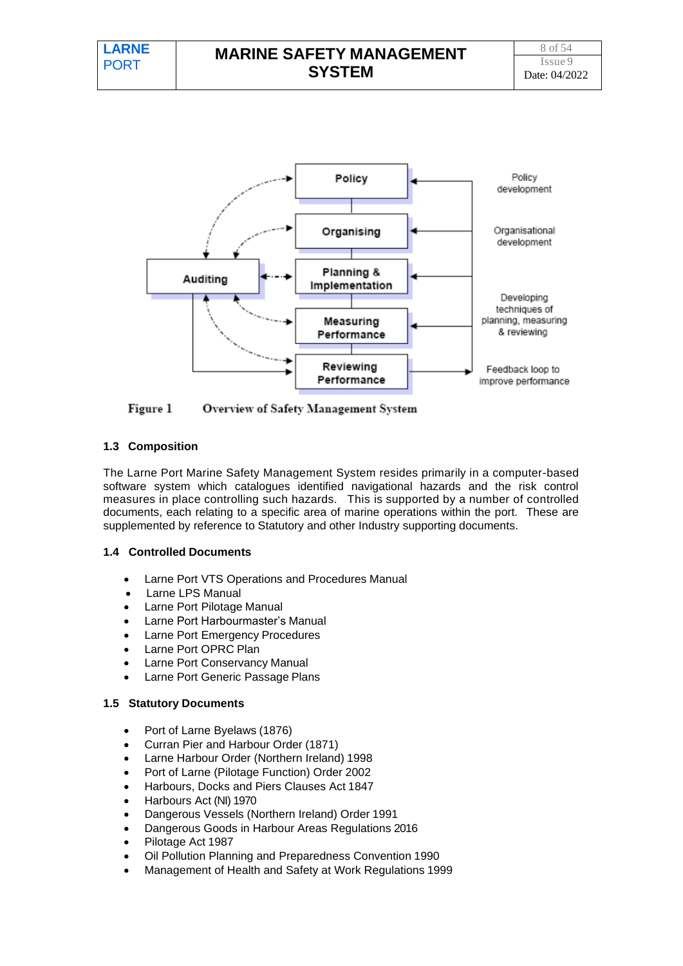

Figure 1 Overview of Safety Management System

#### **1.3 Composition**

The Larne Port Marine Safety Management System resides primarily in a computer-based software system which catalogues identified navigational hazards and the risk control measures in place controlling such hazards. This is supported by a number of controlled documents, each relating to a specific area of marine operations within the port. These are supplemented by reference to Statutory and other Industry supporting documents.

#### **1.4 Controlled Documents**

- Larne Port VTS Operations and Procedures Manual
- Larne LPS Manual
- Larne Port Pilotage Manual
- Larne Port Harbourmaster's Manual
- Larne Port Emergency Procedures
- Larne Port OPRC Plan
- Larne Port Conservancy Manual
- Larne Port Generic Passage Plans

#### **1.5 Statutory Documents**

- Port of Larne Byelaws (1876)
- Curran Pier and Harbour Order (1871)
- Larne Harbour Order (Northern Ireland) 1998
- Port of Larne (Pilotage Function) Order 2002
- Harbours, Docks and Piers Clauses Act 1847
- Harbours Act (NI) 1970
- Dangerous Vessels (Northern Ireland) Order 1991
- Dangerous Goods in Harbour Areas Regulations 2016
- Pilotage Act 1987
- Oil Pollution Planning and Preparedness Convention 1990
- Management of Health and Safety at Work Regulations 1999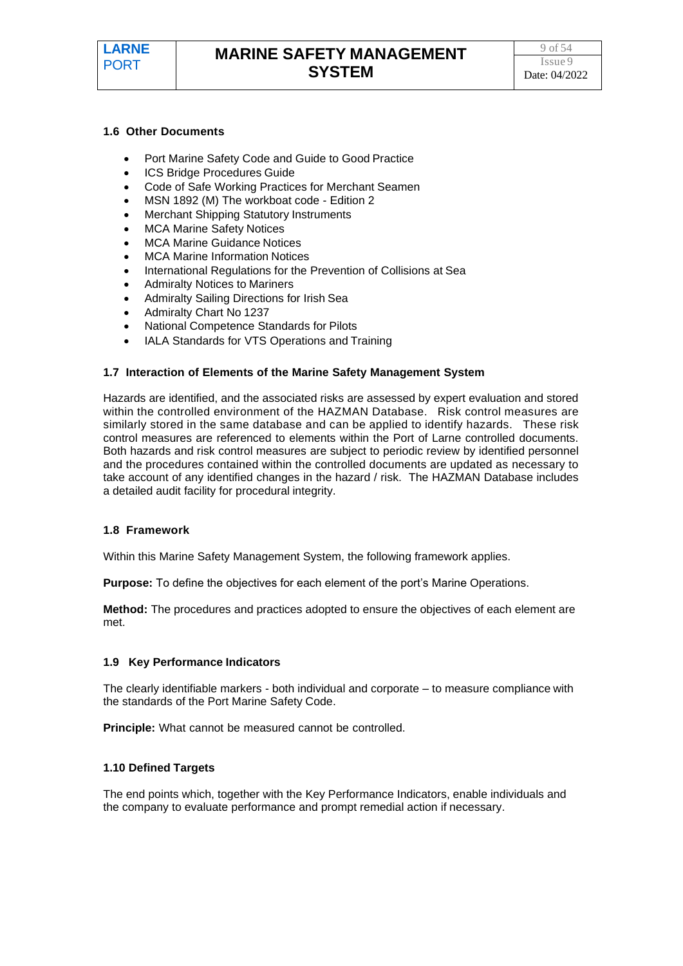

#### **1.6 Other Documents**

- Port Marine Safety Code and Guide to Good Practice
- ICS Bridge Procedures Guide
- Code of Safe Working Practices for Merchant Seamen
- MSN 1892 (M) The workboat code Edition 2
- Merchant Shipping Statutory Instruments
- MCA Marine Safety Notices
- MCA Marine Guidance Notices
- MCA Marine Information Notices
- International Regulations for the Prevention of Collisions at Sea
- Admiralty Notices to Mariners
- Admiralty Sailing Directions for Irish Sea
- Admiralty Chart No 1237
- National Competence Standards for Pilots
- IALA Standards for VTS Operations and Training

#### **1.7 Interaction of Elements of the Marine Safety Management System**

Hazards are identified, and the associated risks are assessed by expert evaluation and stored within the controlled environment of the HAZMAN Database. Risk control measures are similarly stored in the same database and can be applied to identify hazards. These risk control measures are referenced to elements within the Port of Larne controlled documents. Both hazards and risk control measures are subject to periodic review by identified personnel and the procedures contained within the controlled documents are updated as necessary to take account of any identified changes in the hazard / risk. The HAZMAN Database includes a detailed audit facility for procedural integrity.

#### **1.8 Framework**

Within this Marine Safety Management System, the following framework applies.

**Purpose:** To define the objectives for each element of the port's Marine Operations.

**Method:** The procedures and practices adopted to ensure the objectives of each element are met.

#### **1.9 Key Performance Indicators**

The clearly identifiable markers - both individual and corporate – to measure compliance with the standards of the Port Marine Safety Code.

**Principle:** What cannot be measured cannot be controlled.

#### **1.10 Defined Targets**

The end points which, together with the Key Performance Indicators, enable individuals and the company to evaluate performance and prompt remedial action if necessary.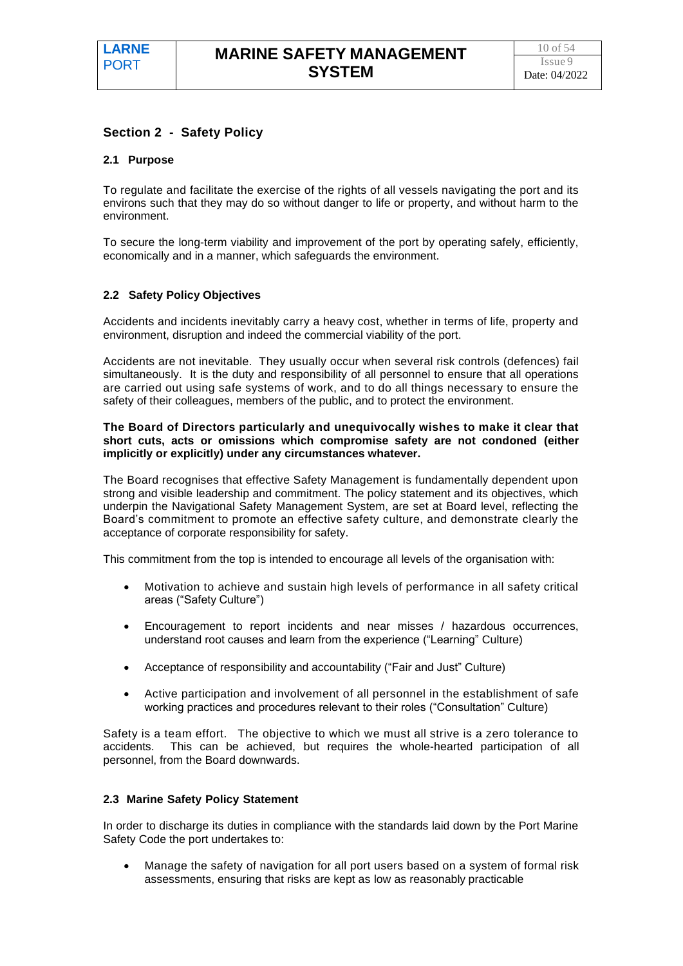#### **Section 2 - Safety Policy**

#### **2.1 Purpose**

To regulate and facilitate the exercise of the rights of all vessels navigating the port and its environs such that they may do so without danger to life or property, and without harm to the environment.

To secure the long-term viability and improvement of the port by operating safely, efficiently, economically and in a manner, which safeguards the environment.

#### **2.2 Safety Policy Objectives**

Accidents and incidents inevitably carry a heavy cost, whether in terms of life, property and environment, disruption and indeed the commercial viability of the port.

Accidents are not inevitable. They usually occur when several risk controls (defences) fail simultaneously. It is the duty and responsibility of all personnel to ensure that all operations are carried out using safe systems of work, and to do all things necessary to ensure the safety of their colleagues, members of the public, and to protect the environment.

#### **The Board of Directors particularly and unequivocally wishes to make it clear that short cuts, acts or omissions which compromise safety are not condoned (either implicitly or explicitly) under any circumstances whatever.**

The Board recognises that effective Safety Management is fundamentally dependent upon strong and visible leadership and commitment. The policy statement and its objectives, which underpin the Navigational Safety Management System, are set at Board level, reflecting the Board's commitment to promote an effective safety culture, and demonstrate clearly the acceptance of corporate responsibility for safety.

This commitment from the top is intended to encourage all levels of the organisation with:

- Motivation to achieve and sustain high levels of performance in all safety critical areas ("Safety Culture")
- Encouragement to report incidents and near misses / hazardous occurrences, understand root causes and learn from the experience ("Learning" Culture)
- Acceptance of responsibility and accountability ("Fair and Just" Culture)
- Active participation and involvement of all personnel in the establishment of safe working practices and procedures relevant to their roles ("Consultation" Culture)

Safety is a team effort. The objective to which we must all strive is a zero tolerance to accidents. This can be achieved, but requires the whole-hearted participation of all personnel, from the Board downwards.

#### **2.3 Marine Safety Policy Statement**

In order to discharge its duties in compliance with the standards laid down by the Port Marine Safety Code the port undertakes to:

• Manage the safety of navigation for all port users based on a system of formal risk assessments, ensuring that risks are kept as low as reasonably practicable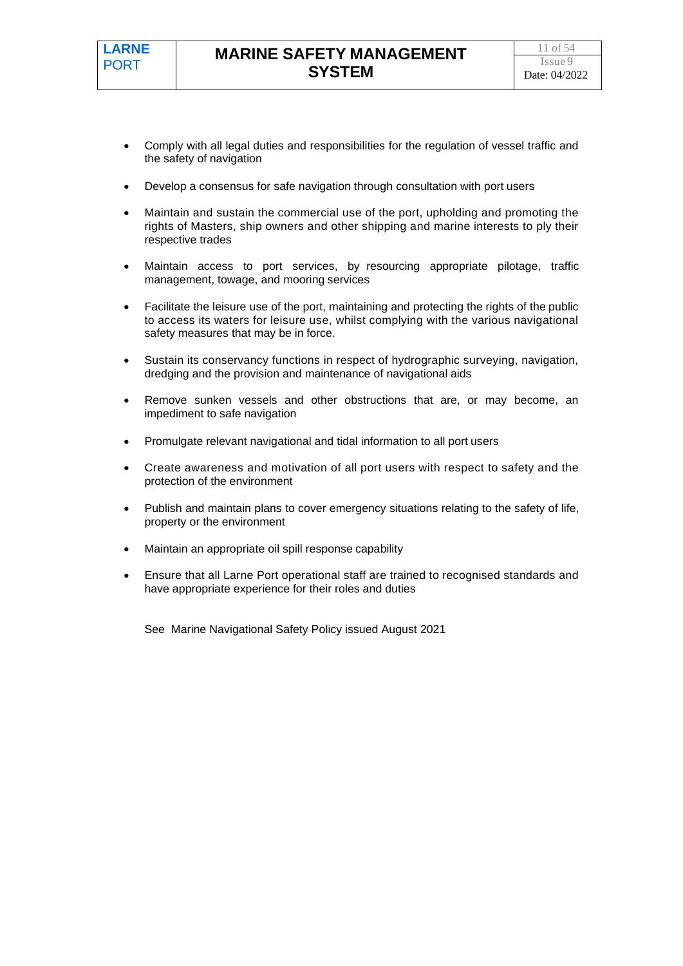- Comply with all legal duties and responsibilities for the regulation of vessel traffic and the safety of navigation
- Develop a consensus for safe navigation through consultation with port users
- Maintain and sustain the commercial use of the port, upholding and promoting the rights of Masters, ship owners and other shipping and marine interests to ply their respective trades
- Maintain access to port services, by resourcing appropriate pilotage, traffic management, towage, and mooring services
- Facilitate the leisure use of the port, maintaining and protecting the rights of the public to access its waters for leisure use, whilst complying with the various navigational safety measures that may be in force.
- Sustain its conservancy functions in respect of hydrographic surveying, navigation, dredging and the provision and maintenance of navigational aids
- Remove sunken vessels and other obstructions that are, or may become, an impediment to safe navigation
- Promulgate relevant navigational and tidal information to all port users
- Create awareness and motivation of all port users with respect to safety and the protection of the environment
- Publish and maintain plans to cover emergency situations relating to the safety of life, property or the environment
- Maintain an appropriate oil spill response capability
- Ensure that all Larne Port operational staff are trained to recognised standards and have appropriate experience for their roles and duties

See Marine Navigational Safety Policy issued August 2021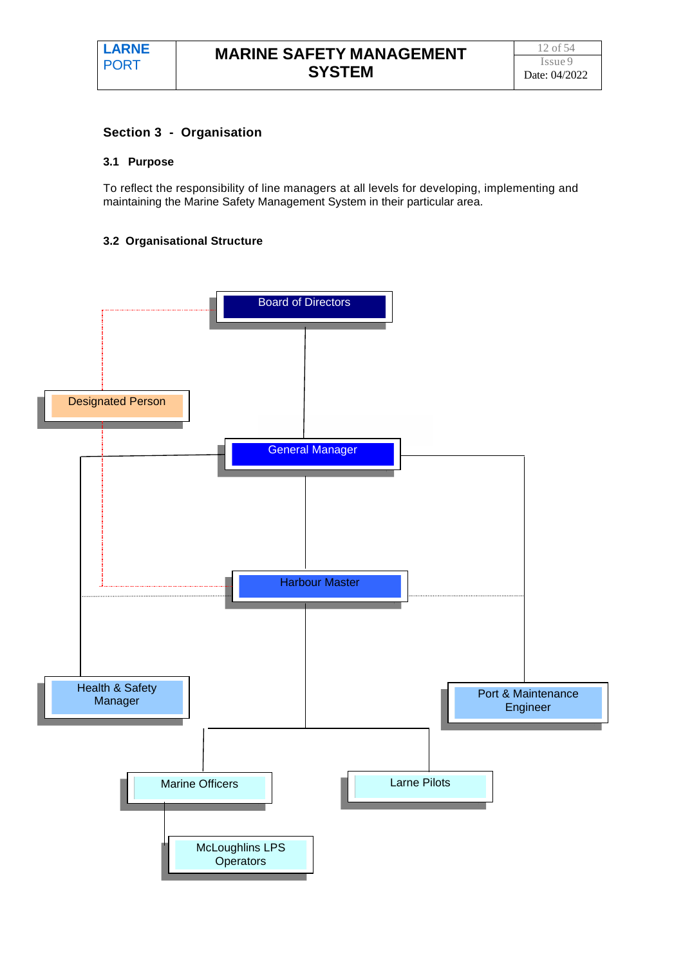#### **Section 3 - Organisation**

#### **3.1 Purpose**

To reflect the responsibility of line managers at all levels for developing, implementing and maintaining the Marine Safety Management System in their particular area.

#### **3.2 Organisational Structure**

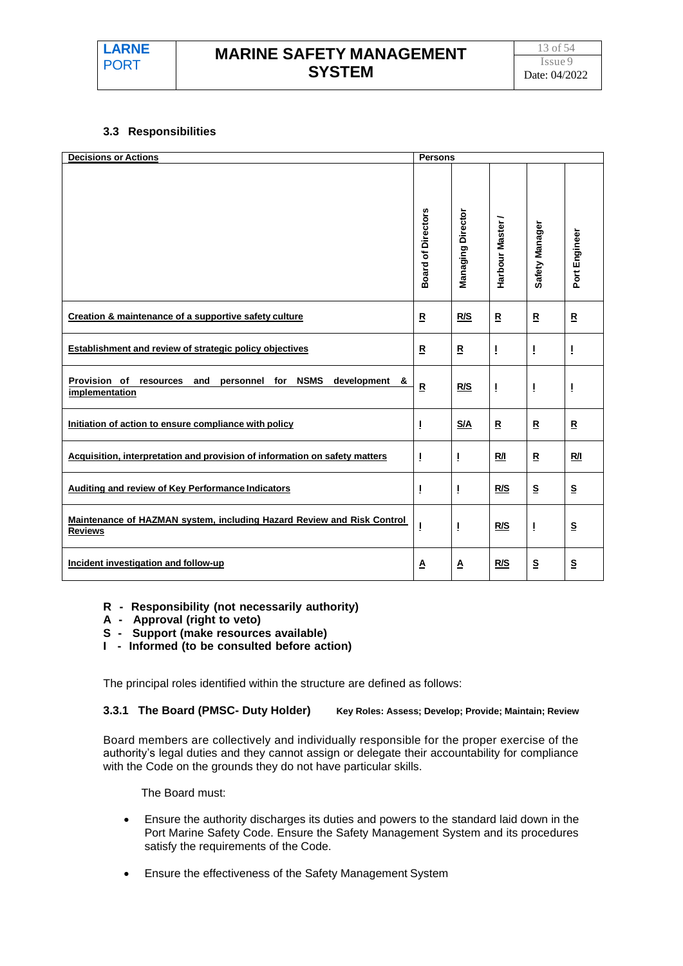# **MARINE SAFETY MANAGEMENT SYSTEM**

#### **3.3 Responsibilities**

| <b>Decisions or Actions</b>                                                                         | <b>Persons</b>            |                          |                           |                          |                          |
|-----------------------------------------------------------------------------------------------------|---------------------------|--------------------------|---------------------------|--------------------------|--------------------------|
|                                                                                                     | <b>Board of Directors</b> | <b>Managing Director</b> | Harbour Master /          | Safety Manager           | Port Engineer            |
| Creation & maintenance of a supportive safety culture                                               | $\underline{\mathsf{R}}$  | R/S                      | $\underline{\mathsf{R}}$  | $\mathbf{R}$             | ${\tt R}$                |
| <b>Establishment and review of strategic policy objectives</b>                                      | $\overline{\mathbf{R}}$   | $\overline{\mathbf{R}}$  | Ţ                         | Ţ                        | I                        |
| Provision of<br><b>NSMS</b><br>development &<br>personnel for<br>resources<br>and<br>implementation | $\overline{\mathbf{R}}$   | R/S                      | T                         | I                        | Ţ                        |
| Initiation of action to ensure compliance with policy                                               | 1                         | S/A                      | ${\underline{\mathsf R}}$ | $\mathbf{R}$             | $\overline{\mathbf{R}}$  |
| Acquisition, interpretation and provision of information on safety matters                          | 1                         | T                        | R/I                       | $\mathbf R$              | <u>R/I</u>               |
| <b>Auditing and review of Key Performance Indicators</b>                                            | I                         | Т                        | R/S                       | $\mathbf{s}$             | $\underline{\mathbf{S}}$ |
| <b>Maintenance of HAZMAN system, including Hazard Review and Risk Control</b><br><b>Reviews</b>     | Ţ                         | Ţ                        | R/S                       | Ţ                        | $\underline{\mathbf{S}}$ |
| Incident investigation and follow-up                                                                | Δ                         | Δ                        | <u>R/S</u>                | $\underline{\mathsf{S}}$ | $\underline{\mathbf{S}}$ |

- **R Responsibility (not necessarily authority)**
- **A Approval (right to veto)**
- **S Support (make resources available)**
- **I Informed (to be consulted before action)**

The principal roles identified within the structure are defined as follows:

**3.3.1 The Board (PMSC- Duty Holder) Key Roles: Assess; Develop; Provide; Maintain; Review**

Board members are collectively and individually responsible for the proper exercise of the authority's legal duties and they cannot assign or delegate their accountability for compliance with the Code on the grounds they do not have particular skills.

The Board must:

- Ensure the authority discharges its duties and powers to the standard laid down in the Port Marine Safety Code. Ensure the Safety Management System and its procedures satisfy the requirements of the Code.
- Ensure the effectiveness of the Safety Management System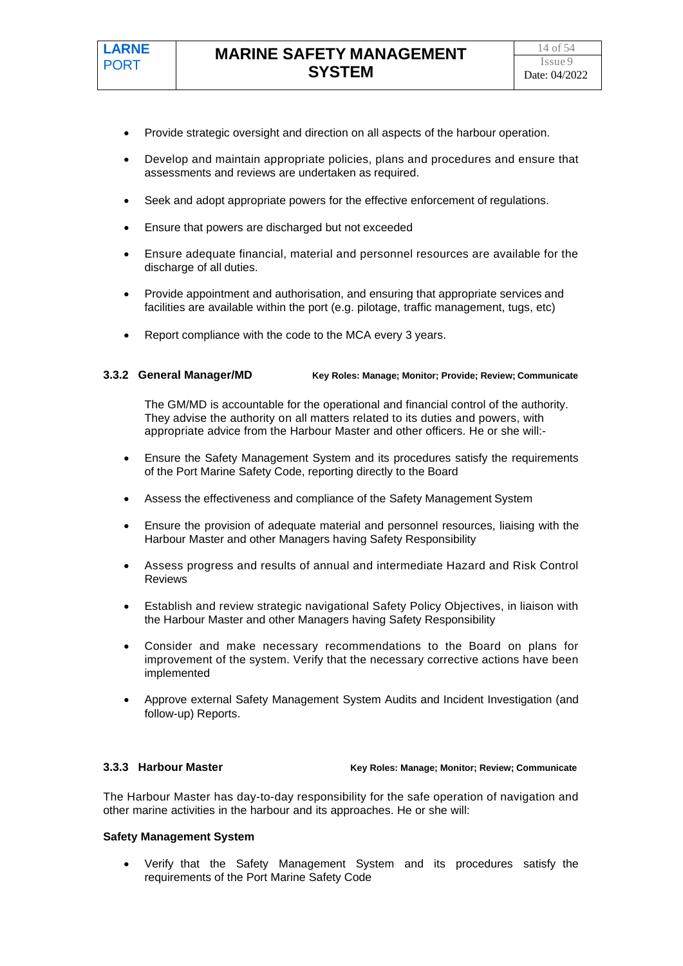- Provide strategic oversight and direction on all aspects of the harbour operation.
- Develop and maintain appropriate policies, plans and procedures and ensure that assessments and reviews are undertaken as required.
- Seek and adopt appropriate powers for the effective enforcement of regulations.
- Ensure that powers are discharged but not exceeded
- Ensure adequate financial, material and personnel resources are available for the discharge of all duties.
- Provide appointment and authorisation, and ensuring that appropriate services and facilities are available within the port (e.g. pilotage, traffic management, tugs, etc)
- Report compliance with the code to the MCA every 3 years.

#### **3.3.2 General Manager/MD Key Roles: Manage; Monitor; Provide; Review; Communicate**

The GM/MD is accountable for the operational and financial control of the authority. They advise the authority on all matters related to its duties and powers, with appropriate advice from the Harbour Master and other officers. He or she will:-

- Ensure the Safety Management System and its procedures satisfy the requirements of the Port Marine Safety Code, reporting directly to the Board
- Assess the effectiveness and compliance of the Safety Management System
- Ensure the provision of adequate material and personnel resources, liaising with the Harbour Master and other Managers having Safety Responsibility
- Assess progress and results of annual and intermediate Hazard and Risk Control Reviews
- Establish and review strategic navigational Safety Policy Objectives, in liaison with the Harbour Master and other Managers having Safety Responsibility
- Consider and make necessary recommendations to the Board on plans for improvement of the system. Verify that the necessary corrective actions have been implemented
- Approve external Safety Management System Audits and Incident Investigation (and follow-up) Reports.

**3.3.3 Harbour Master Key Roles: Manage; Monitor; Review; Communicate**

The Harbour Master has day-to-day responsibility for the safe operation of navigation and other marine activities in the harbour and its approaches. He or she will:

#### **Safety Management System**

• Verify that the Safety Management System and its procedures satisfy the requirements of the Port Marine Safety Code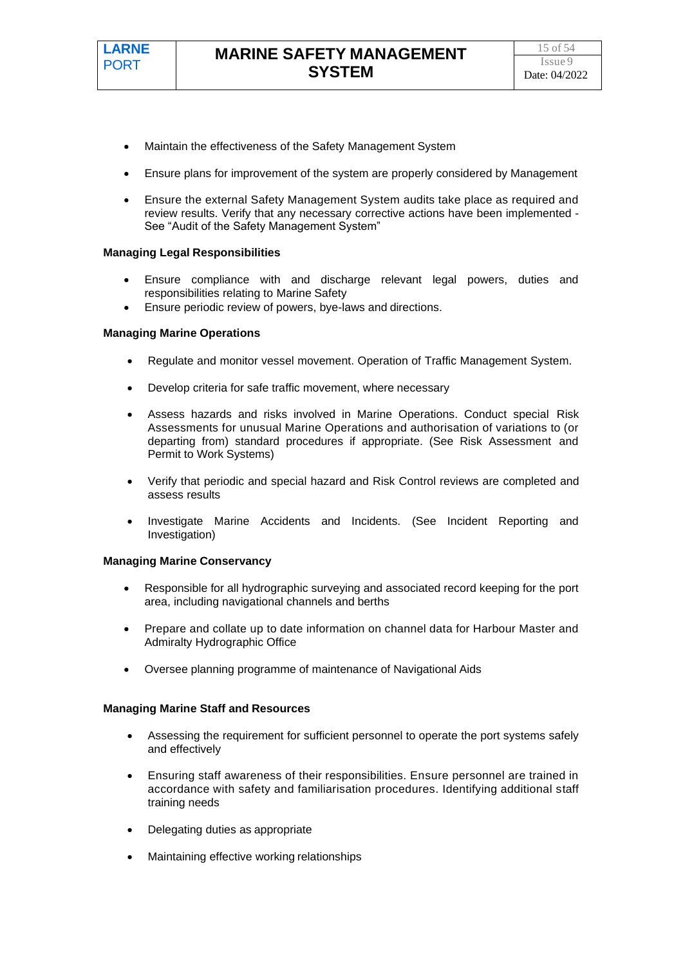- Maintain the effectiveness of the Safety Management System
- Ensure plans for improvement of the system are properly considered by Management
- Ensure the external Safety Management System audits take place as required and review results. Verify that any necessary corrective actions have been implemented - See "Audit of the Safety Management System"

#### **Managing Legal Responsibilities**

- Ensure compliance with and discharge relevant legal powers, duties and responsibilities relating to Marine Safety
- Ensure periodic review of powers, bye-laws and directions.

#### **Managing Marine Operations**

- Regulate and monitor vessel movement. Operation of Traffic Management System.
- Develop criteria for safe traffic movement, where necessary
- Assess hazards and risks involved in Marine Operations. Conduct special Risk Assessments for unusual Marine Operations and authorisation of variations to (or departing from) standard procedures if appropriate. (See Risk Assessment and Permit to Work Systems)
- Verify that periodic and special hazard and Risk Control reviews are completed and assess results
- Investigate Marine Accidents and Incidents. (See Incident Reporting and Investigation)

#### **Managing Marine Conservancy**

- Responsible for all hydrographic surveying and associated record keeping for the port area, including navigational channels and berths
- Prepare and collate up to date information on channel data for Harbour Master and Admiralty Hydrographic Office
- Oversee planning programme of maintenance of Navigational Aids

#### **Managing Marine Staff and Resources**

- Assessing the requirement for sufficient personnel to operate the port systems safely and effectively
- Ensuring staff awareness of their responsibilities. Ensure personnel are trained in accordance with safety and familiarisation procedures. Identifying additional staff training needs
- Delegating duties as appropriate
- Maintaining effective working relationships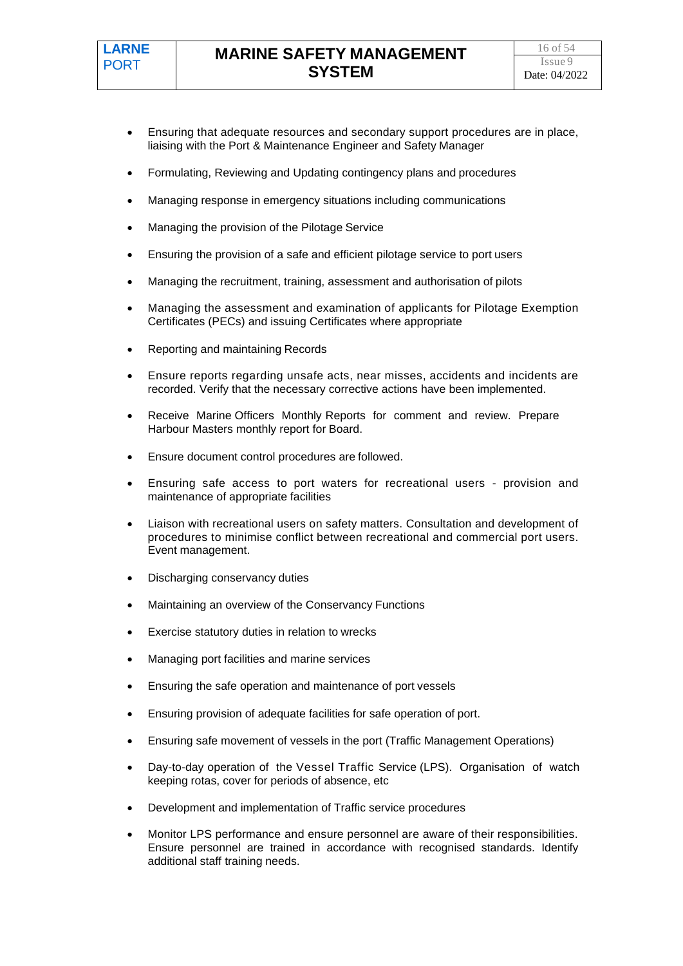- Ensuring that adequate resources and secondary support procedures are in place, liaising with the Port & Maintenance Engineer and Safety Manager
- Formulating, Reviewing and Updating contingency plans and procedures
- Managing response in emergency situations including communications
- Managing the provision of the Pilotage Service
- Ensuring the provision of a safe and efficient pilotage service to port users
- Managing the recruitment, training, assessment and authorisation of pilots
- Managing the assessment and examination of applicants for Pilotage Exemption Certificates (PECs) and issuing Certificates where appropriate
- Reporting and maintaining Records
- Ensure reports regarding unsafe acts, near misses, accidents and incidents are recorded. Verify that the necessary corrective actions have been implemented.
- Receive Marine Officers Monthly Reports for comment and review. Prepare Harbour Masters monthly report for Board.
- Ensure document control procedures are followed.
- Ensuring safe access to port waters for recreational users provision and maintenance of appropriate facilities
- Liaison with recreational users on safety matters. Consultation and development of procedures to minimise conflict between recreational and commercial port users. Event management.
- Discharging conservancy duties
- Maintaining an overview of the Conservancy Functions
- Exercise statutory duties in relation to wrecks
- Managing port facilities and marine services
- Ensuring the safe operation and maintenance of port vessels
- Ensuring provision of adequate facilities for safe operation of port.
- Ensuring safe movement of vessels in the port (Traffic Management Operations)
- Day-to-day operation of the Vessel Traffic Service (LPS). Organisation of watch keeping rotas, cover for periods of absence, etc
- Development and implementation of Traffic service procedures
- Monitor LPS performance and ensure personnel are aware of their responsibilities. Ensure personnel are trained in accordance with recognised standards. Identify additional staff training needs.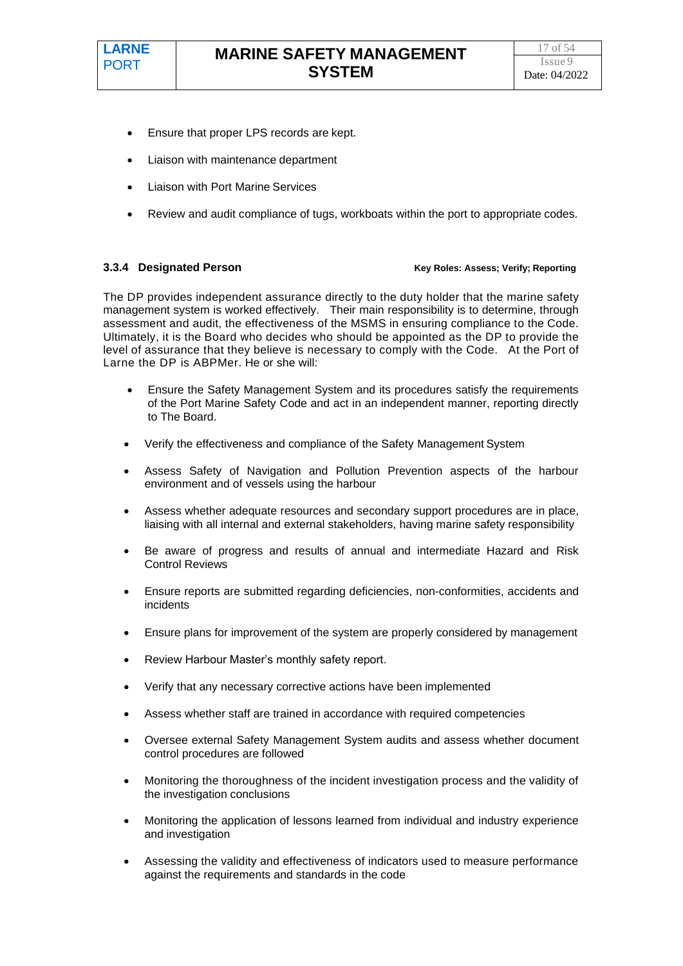- Ensure that proper LPS records are kept.
- Liaison with maintenance department
- Liaison with Port Marine Services
- Review and audit compliance of tugs, workboats within the port to appropriate codes.

#### **3.3.4 Designated Person Key Roles: Assess; Verify; Reporting**

The DP provides independent assurance directly to the duty holder that the marine safety management system is worked effectively. Their main responsibility is to determine, through assessment and audit, the effectiveness of the MSMS in ensuring compliance to the Code. Ultimately, it is the Board who decides who should be appointed as the DP to provide the level of assurance that they believe is necessary to comply with the Code. At the Port of Larne the DP is ABPMer. He or she will:

- Ensure the Safety Management System and its procedures satisfy the requirements of the Port Marine Safety Code and act in an independent manner, reporting directly to The Board.
- Verify the effectiveness and compliance of the Safety Management System
- Assess Safety of Navigation and Pollution Prevention aspects of the harbour environment and of vessels using the harbour
- Assess whether adequate resources and secondary support procedures are in place, liaising with all internal and external stakeholders, having marine safety responsibility
- Be aware of progress and results of annual and intermediate Hazard and Risk Control Reviews
- Ensure reports are submitted regarding deficiencies, non-conformities, accidents and incidents
- Ensure plans for improvement of the system are properly considered by management
- Review Harbour Master's monthly safety report.
- Verify that any necessary corrective actions have been implemented
- Assess whether staff are trained in accordance with required competencies
- Oversee external Safety Management System audits and assess whether document control procedures are followed
- Monitoring the thoroughness of the incident investigation process and the validity of the investigation conclusions
- Monitoring the application of lessons learned from individual and industry experience and investigation
- Assessing the validity and effectiveness of indicators used to measure performance against the requirements and standards in the code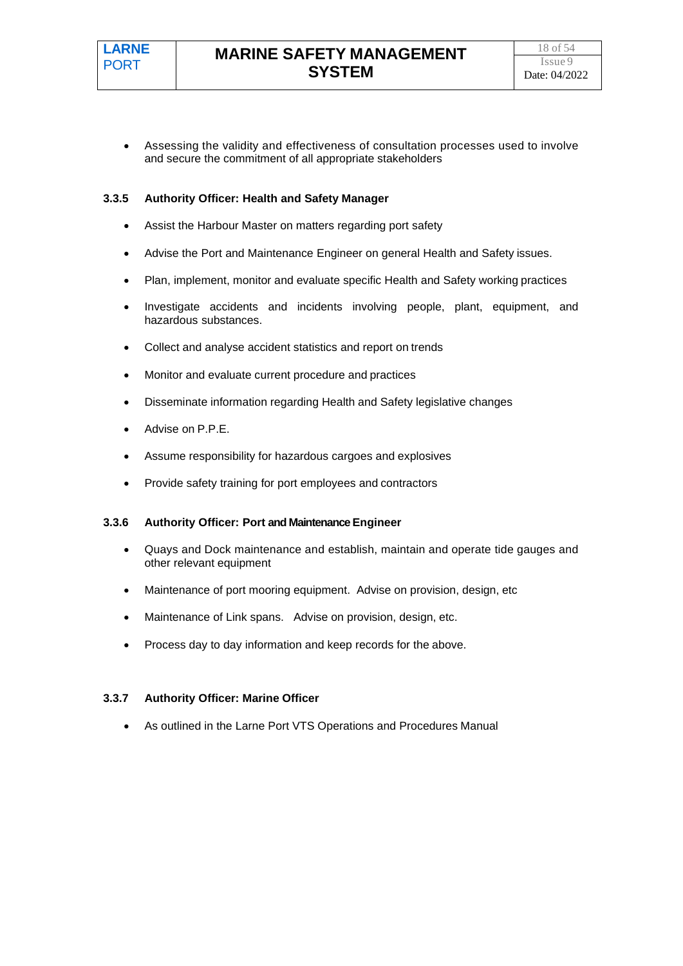• Assessing the validity and effectiveness of consultation processes used to involve and secure the commitment of all appropriate stakeholders

#### **3.3.5 Authority Officer: Health and Safety Manager**

- Assist the Harbour Master on matters regarding port safety
- Advise the Port and Maintenance Engineer on general Health and Safety issues.
- Plan, implement, monitor and evaluate specific Health and Safety working practices
- Investigate accidents and incidents involving people, plant, equipment, and hazardous substances.
- Collect and analyse accident statistics and report on trends
- Monitor and evaluate current procedure and practices
- Disseminate information regarding Health and Safety legislative changes
- Advise on P.P.E.
- Assume responsibility for hazardous cargoes and explosives
- Provide safety training for port employees and contractors

#### **3.3.6 Authority Officer: Port and Maintenance Engineer**

- Quays and Dock maintenance and establish, maintain and operate tide gauges and other relevant equipment
- Maintenance of port mooring equipment. Advise on provision, design, etc
- Maintenance of Link spans. Advise on provision, design, etc.
- Process day to day information and keep records for the above.

#### **3.3.7 Authority Officer: Marine Officer**

• As outlined in the Larne Port VTS Operations and Procedures Manual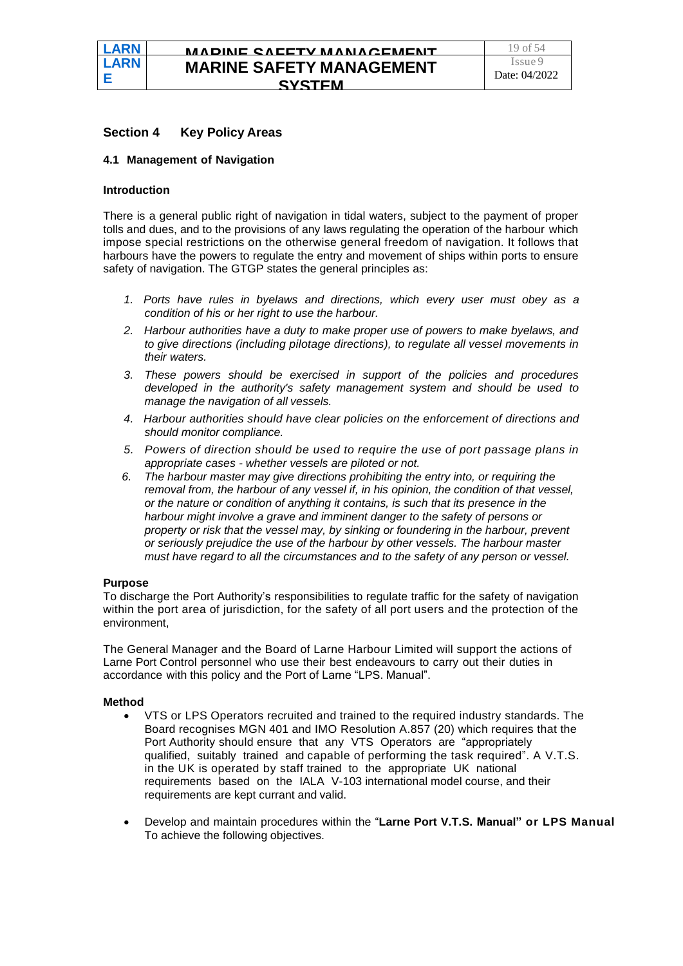#### **Section 4 Key Policy Areas**

#### **4.1 Management of Navigation**

#### **Introduction**

**LARN E LARN** PORT **E**

PORT

There is a general public right of navigation in tidal waters, subject to the payment of proper tolls and dues, and to the provisions of any laws regulating the operation of the harbour which impose special restrictions on the otherwise general freedom of navigation. It follows that harbours have the powers to regulate the entry and movement of ships within ports to ensure safety of navigation. The GTGP states the general principles as:

- *1. Ports have rules in byelaws and directions, which every user must obey as a condition of his or her right to use the harbour.*
- *2. Harbour authorities have a duty to make proper use of powers to make byelaws, and to give directions (including pilotage directions), to regulate all vessel movements in their waters.*
- *3. These powers should be exercised in support of the policies and procedures developed in the authority's safety management system and should be used to manage the navigation of all vessels.*
- *4. Harbour authorities should have clear policies on the enforcement of directions and should monitor compliance.*
- *5. Powers of direction should be used to require the use of port passage plans in appropriate cases - whether vessels are piloted or not.*
- *6. The harbour master may give directions prohibiting the entry into, or requiring the removal from, the harbour of any vessel if, in his opinion, the condition of that vessel, or the nature or condition of anything it contains, is such that its presence in the harbour might involve a grave and imminent danger to the safety of persons or property or risk that the vessel may, by sinking or foundering in the harbour, prevent or seriously prejudice the use of the harbour by other vessels. The harbour master must have regard to all the circumstances and to the safety of any person or vessel.*

#### **Purpose**

To discharge the Port Authority's responsibilities to regulate traffic for the safety of navigation within the port area of jurisdiction, for the safety of all port users and the protection of the environment,

The General Manager and the Board of Larne Harbour Limited will support the actions of Larne Port Control personnel who use their best endeavours to carry out their duties in accordance with this policy and the Port of Larne "LPS. Manual".

#### **Method**

- VTS or LPS Operators recruited and trained to the required industry standards. The Board recognises MGN 401 and IMO Resolution A.857 (20) which requires that the Port Authority should ensure that any VTS Operators are "appropriately qualified, suitably trained and capable of performing the task required". A V.T.S. in the UK is operated by staff trained to the appropriate UK national requirements based on the IALA V-103 international model course, and their requirements are kept currant and valid.
- Develop and maintain procedures within the "**Larne Port V.T.S. Manual" or LPS Manual**  To achieve the following objectives.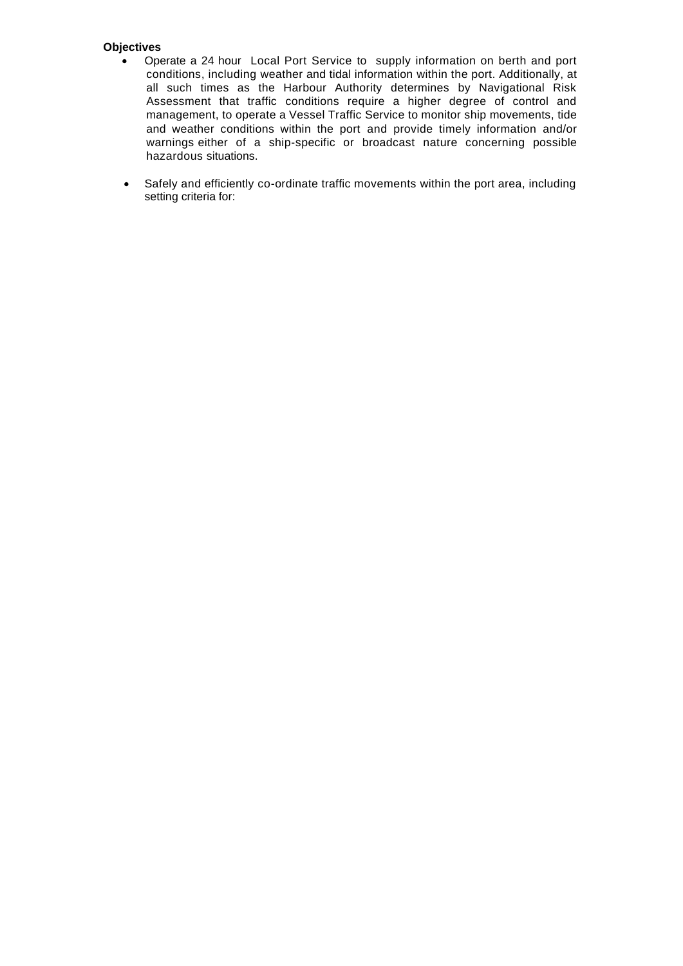#### **Objectives**

- Operate a 24 hour Local Port Service to supply information on berth and port conditions, including weather and tidal information within the port. Additionally, at all such times as the Harbour Authority determines by Navigational Risk Assessment that traffic conditions require a higher degree of control and management, to operate a Vessel Traffic Service to monitor ship movements, tide and weather conditions within the port and provide timely information and/or warnings either of a ship-specific or broadcast nature concerning possible hazardous situations.
- Safely and efficiently co-ordinate traffic movements within the port area, including setting criteria for: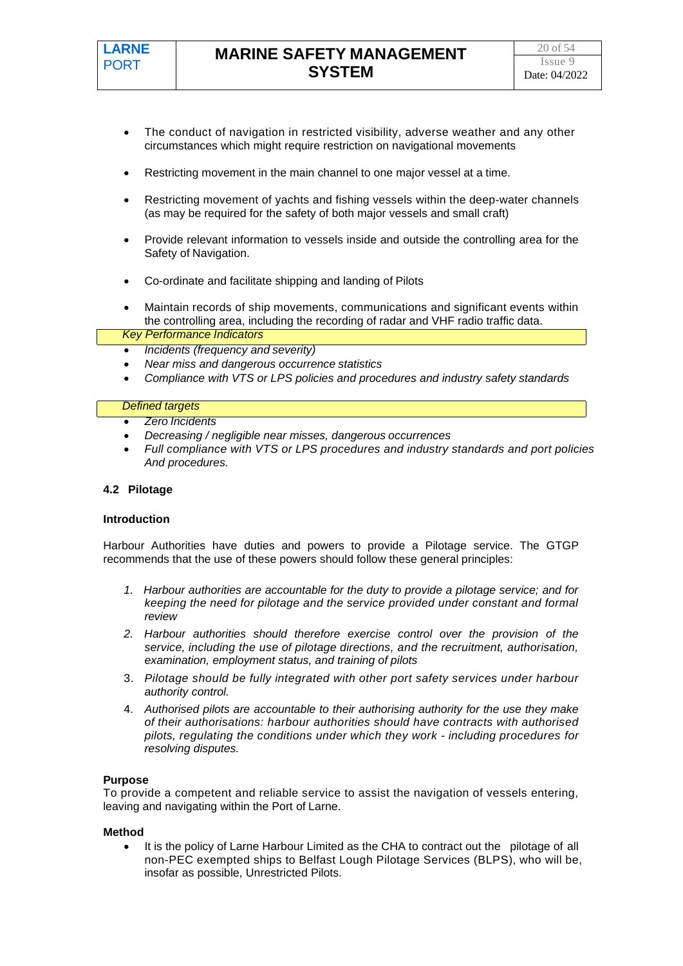- The conduct of navigation in restricted visibility, adverse weather and any other circumstances which might require restriction on navigational movements
- Restricting movement in the main channel to one major vessel at a time.
- Restricting movement of yachts and fishing vessels within the deep-water channels (as may be required for the safety of both major vessels and small craft)
- Provide relevant information to vessels inside and outside the controlling area for the Safety of Navigation.
- Co-ordinate and facilitate shipping and landing of Pilots
- Maintain records of ship movements, communications and significant events within the controlling area, including the recording of radar and VHF radio traffic data.

#### *Key Performance Indicators*

- *Incidents (frequency and severity)*
- *Near miss and dangerous occurrence statistics*
- *Compliance with VTS or LPS policies and procedures and industry safety standards*

#### *Defined targets*

- *Zero Incidents*
- *Decreasing / negligible near misses, dangerous occurrences*
- *Full compliance with VTS or LPS procedures and industry standards and port policies And procedures.*

#### **4.2 Pilotage**

#### **Introduction**

Harbour Authorities have duties and powers to provide a Pilotage service. The GTGP recommends that the use of these powers should follow these general principles:

- *1. Harbour authorities are accountable for the duty to provide a pilotage service; and for keeping the need for pilotage and the service provided under constant and formal review*
- *2. Harbour authorities should therefore exercise control over the provision of the service, including the use of pilotage directions, and the recruitment, authorisation, examination, employment status, and training of pilots*
- 3. *Pilotage should be fully integrated with other port safety services under harbour authority control.*
- 4. *Authorised pilots are accountable to their authorising authority for the use they make of their authorisations: harbour authorities should have contracts with authorised pilots, regulating the conditions under which they work - including procedures for resolving disputes.*

#### **Purpose**

To provide a competent and reliable service to assist the navigation of vessels entering, leaving and navigating within the Port of Larne.

#### **Method**

It is the policy of Larne Harbour Limited as the CHA to contract out the pilotage of all non-PEC exempted ships to Belfast Lough Pilotage Services (BLPS), who will be, insofar as possible, Unrestricted Pilots.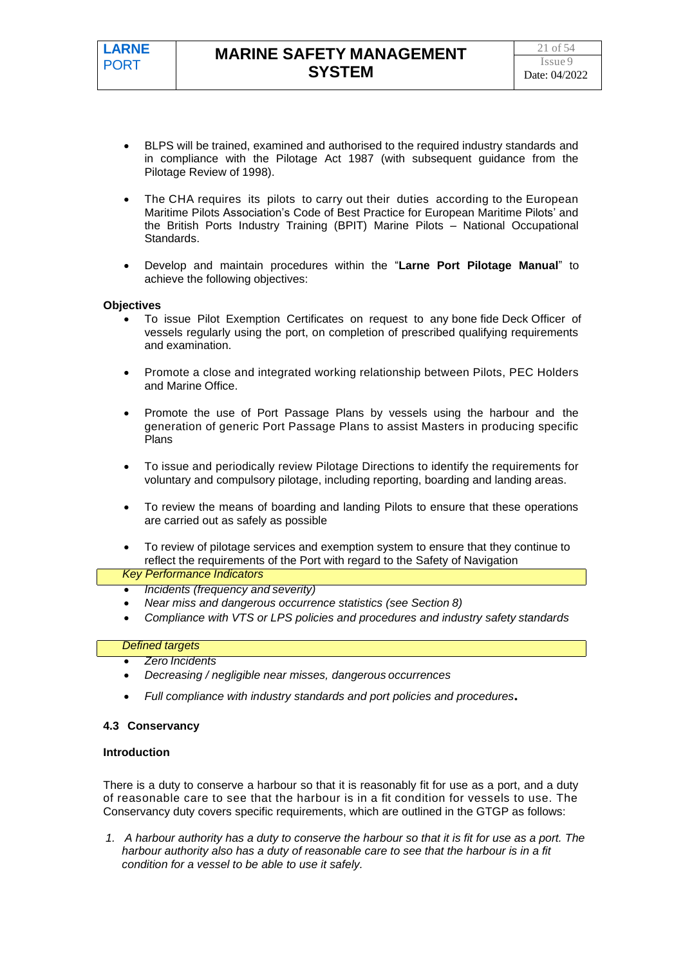- BLPS will be trained, examined and authorised to the required industry standards and in compliance with the Pilotage Act 1987 (with subsequent guidance from the Pilotage Review of 1998).
- The CHA requires its pilots to carry out their duties according to the European Maritime Pilots Association's Code of Best Practice for European Maritime Pilots' and the British Ports Industry Training (BPIT) Marine Pilots – National Occupational Standards.
- Develop and maintain procedures within the "**Larne Port Pilotage Manual**" to achieve the following objectives:

#### **Objectives**

- To issue Pilot Exemption Certificates on request to any bone fide Deck Officer of vessels regularly using the port, on completion of prescribed qualifying requirements and examination.
- Promote a close and integrated working relationship between Pilots, PEC Holders and Marine Office.
- Promote the use of Port Passage Plans by vessels using the harbour and the generation of generic Port Passage Plans to assist Masters in producing specific Plans
- To issue and periodically review Pilotage Directions to identify the requirements for voluntary and compulsory pilotage, including reporting, boarding and landing areas.
- To review the means of boarding and landing Pilots to ensure that these operations are carried out as safely as possible
- To review of pilotage services and exemption system to ensure that they continue to reflect the requirements of the Port with regard to the Safety of Navigation

#### *Key Performance Indicators*

- *Incidents (frequency and severity)*
- *Near miss and dangerous occurrence statistics (see Section 8)*
- *Compliance with VTS or LPS policies and procedures and industry safety standards*

### *Defined targets*

- *Zero Incidents*
- *Decreasing / negligible near misses, dangerous occurrences*
- *Full compliance with industry standards and port policies and procedures.*

#### **4.3 Conservancy**

#### **Introduction**

There is a duty to conserve a harbour so that it is reasonably fit for use as a port, and a duty of reasonable care to see that the harbour is in a fit condition for vessels to use. The Conservancy duty covers specific requirements, which are outlined in the GTGP as follows:

*1. A harbour authority has a duty to conserve the harbour so that it is fit for use as a port. The harbour authority also has a duty of reasonable care to see that the harbour is in a fit condition for a vessel to be able to use it safely.*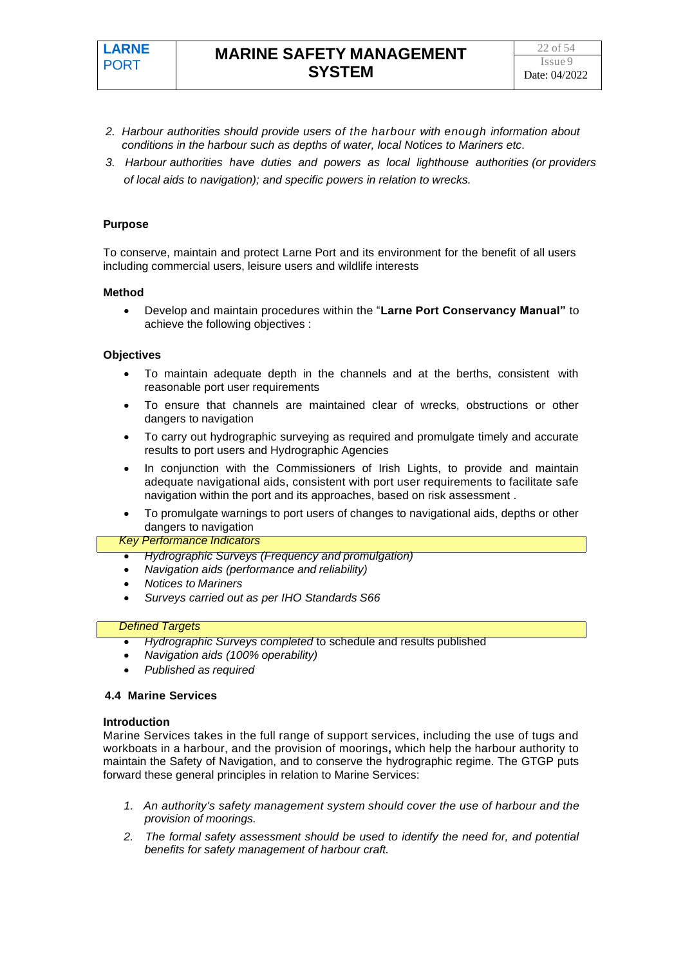- *2. Harbour authorities should provide users of the harbour with enough information about conditions in the harbour such as depths of water, local Notices to Mariners etc.*
- *3. Harbour authorities have duties and powers as local lighthouse authorities (or providers of local aids to navigation); and specific powers in relation to wrecks.*

#### **Purpose**

To conserve, maintain and protect Larne Port and its environment for the benefit of all users including commercial users, leisure users and wildlife interests

#### **Method**

• Develop and maintain procedures within the "**Larne Port Conservancy Manual"** to achieve the following objectives :

#### **Objectives**

- To maintain adequate depth in the channels and at the berths, consistent with reasonable port user requirements
- To ensure that channels are maintained clear of wrecks, obstructions or other dangers to navigation
- To carry out hydrographic surveying as required and promulgate timely and accurate results to port users and Hydrographic Agencies
- In conjunction with the Commissioners of Irish Lights, to provide and maintain adequate navigational aids, consistent with port user requirements to facilitate safe navigation within the port and its approaches, based on risk assessment .
- To promulgate warnings to port users of changes to navigational aids, depths or other dangers to navigation

#### *Key Performance Indicators*

- *Hydrographic Surveys (Frequency and promulgation)*
- *Navigation aids (performance and reliability)*
- *Notices to Mariners*
- *Surveys carried out as per IHO Standards S66*

#### *Defined Targets*

- *Hydrographic Surveys completed* to schedule and results published
- *Navigation aids (100% operability)*
- *Published as required*

#### **4.4 Marine Services**

#### **Introduction**

Marine Services takes in the full range of support services, including the use of tugs and workboats in a harbour, and the provision of moorings**,** which help the harbour authority to maintain the Safety of Navigation, and to conserve the hydrographic regime. The GTGP puts forward these general principles in relation to Marine Services:

- *1. An authority's safety management system should cover the use of harbour and the provision of moorings.*
- *2. The formal safety assessment should be used to identify the need for, and potential benefits for safety management of harbour craft.*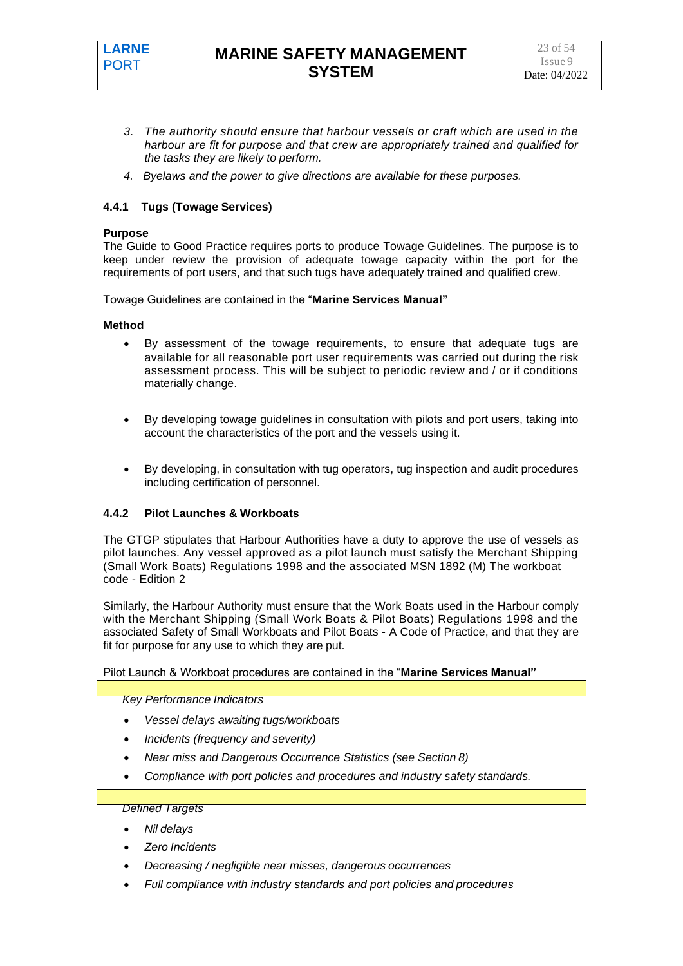

- *3. The authority should ensure that harbour vessels or craft which are used in the harbour are fit for purpose and that crew are appropriately trained and qualified for the tasks they are likely to perform.*
- *4. Byelaws and the power to give directions are available for these purposes.*

#### **4.4.1 Tugs (Towage Services)**

#### **Purpose**

The Guide to Good Practice requires ports to produce Towage Guidelines. The purpose is to keep under review the provision of adequate towage capacity within the port for the requirements of port users, and that such tugs have adequately trained and qualified crew.

Towage Guidelines are contained in the "**Marine Services Manual"**

#### **Method**

- By assessment of the towage requirements, to ensure that adequate tugs are available for all reasonable port user requirements was carried out during the risk assessment process. This will be subject to periodic review and / or if conditions materially change.
- By developing towage guidelines in consultation with pilots and port users, taking into account the characteristics of the port and the vessels using it.
- By developing, in consultation with tug operators, tug inspection and audit procedures including certification of personnel.

#### **4.4.2 Pilot Launches & Workboats**

The GTGP stipulates that Harbour Authorities have a duty to approve the use of vessels as pilot launches. Any vessel approved as a pilot launch must satisfy the Merchant Shipping (Small Work Boats) Regulations 1998 and the associated MSN 1892 (M) The workboat code - Edition 2

Similarly, the Harbour Authority must ensure that the Work Boats used in the Harbour comply with the Merchant Shipping (Small Work Boats & Pilot Boats) Regulations 1998 and the associated Safety of Small Workboats and Pilot Boats - A Code of Practice, and that they are fit for purpose for any use to which they are put.

Pilot Launch & Workboat procedures are contained in the "**Marine Services Manual"**

*Key Performance Indicators*

- *Vessel delays awaiting tugs/workboats*
- *Incidents (frequency and severity)*
- *Near miss and Dangerous Occurrence Statistics (see Section 8)*
- *Compliance with port policies and procedures and industry safety standards.*

- *Nil delays*
- *Zero Incidents*
- *Decreasing / negligible near misses, dangerous occurrences*
- *Full compliance with industry standards and port policies and procedures*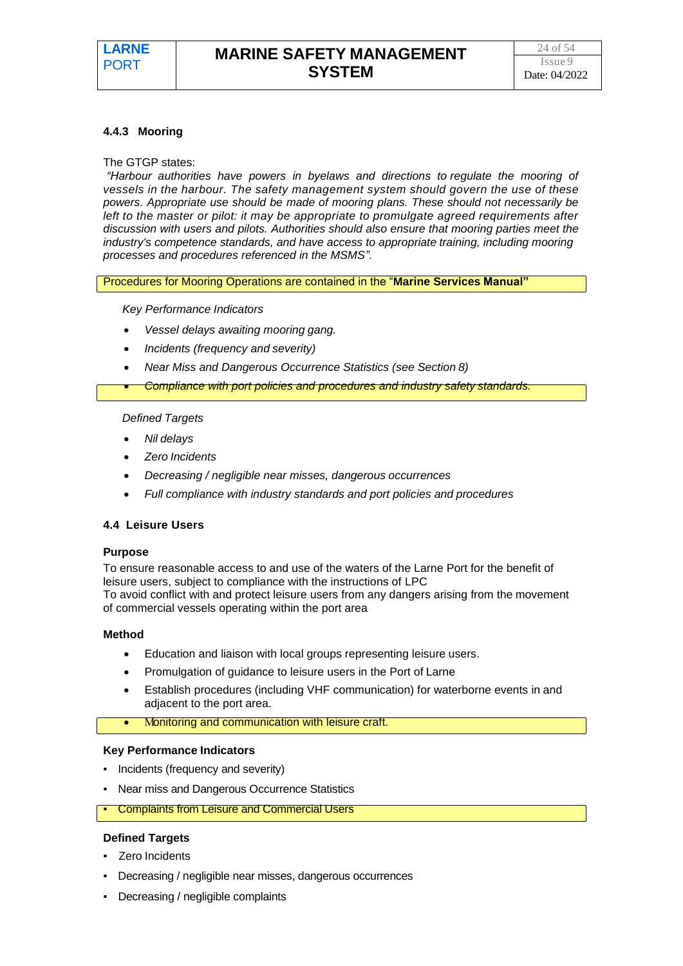#### **4.4.3 Mooring**

#### The GTGP states:

*"Harbour authorities have powers in byelaws and directions to regulate the mooring of vessels in the harbour. The safety management system should govern the use of these powers. Appropriate use should be made of mooring plans. These should not necessarily be left to the master or pilot: it may be appropriate to promulgate agreed requirements after discussion with users and pilots. Authorities should also ensure that mooring parties meet the industry's competence standards, and have access to appropriate training, including mooring processes and procedures referenced in the MSMS".*

Procedures for Mooring Operations are contained in the "**Marine Services Manual"**

#### *Key Performance Indicators*

- *Vessel delays awaiting mooring gang.*
- *Incidents (frequency and severity)*
- *Near Miss and Dangerous Occurrence Statistics (see Section 8)*
- *Compliance with port policies and procedures and industry safety standards.*

#### *Defined Targets*

- *Nil delays*
- *Zero Incidents*
- *Decreasing / negligible near misses, dangerous occurrences*
- *Full compliance with industry standards and port policies and procedures*

#### **4.4 Leisure Users**

#### **Purpose**

To ensure reasonable access to and use of the waters of the Larne Port for the benefit of leisure users, subject to compliance with the instructions of LPC To avoid conflict with and protect leisure users from any dangers arising from the movement of commercial vessels operating within the port area

#### **Method**

- Education and liaison with local groups representing leisure users.
- Promulgation of guidance to leisure users in the Port of Larne
- Establish procedures (including VHF communication) for waterborne events in and adjacent to the port area.
	- Monitoring and communication with leisure craft.

#### **Key Performance Indicators**

- Incidents (frequency and severity)
- Near miss and Dangerous Occurrence Statistics
- **Complaints from Leisure and Commercial Users**

- Zero Incidents
- Decreasing / negligible near misses, dangerous occurrences
- Decreasing / negligible complaints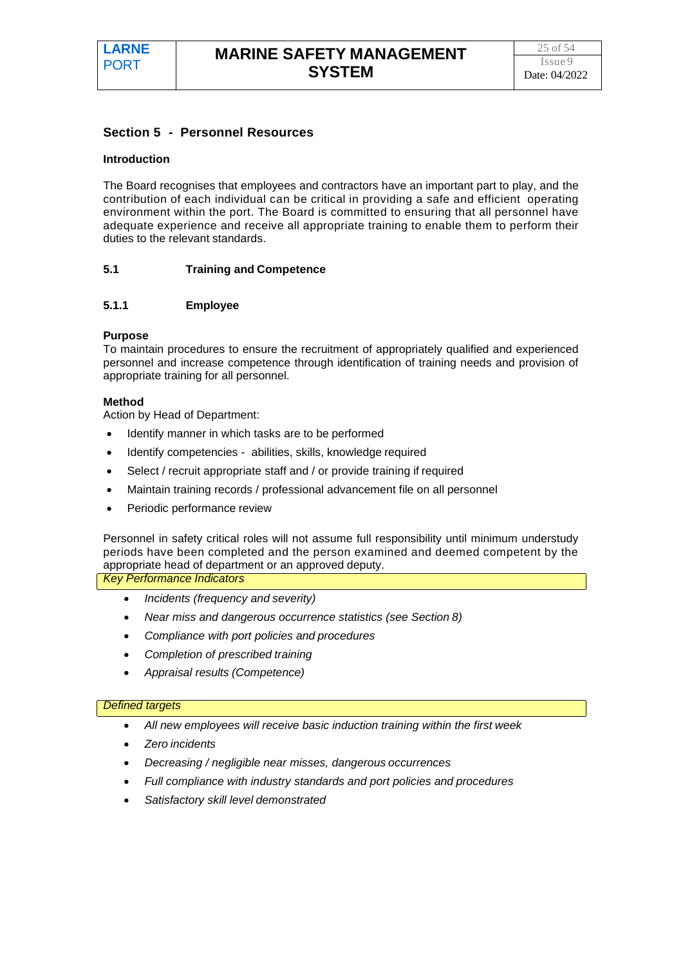#### **Section 5 - Personnel Resources**

#### **Introduction**

The Board recognises that employees and contractors have an important part to play, and the contribution of each individual can be critical in providing a safe and efficient operating environment within the port. The Board is committed to ensuring that all personnel have adequate experience and receive all appropriate training to enable them to perform their duties to the relevant standards.

#### **5.1 Training and Competence**

#### **5.1.1 Employee**

#### **Purpose**

To maintain procedures to ensure the recruitment of appropriately qualified and experienced personnel and increase competence through identification of training needs and provision of appropriate training for all personnel.

#### **Method**

Action by Head of Department:

- Identify manner in which tasks are to be performed
- Identify competencies abilities, skills, knowledge required
- Select / recruit appropriate staff and / or provide training if required
- Maintain training records / professional advancement file on all personnel
- Periodic performance review

Personnel in safety critical roles will not assume full responsibility until minimum understudy periods have been completed and the person examined and deemed competent by the appropriate head of department or an approved deputy.

*Key Performance Indicators*

- *Incidents (frequency and severity)*
- *Near miss and dangerous occurrence statistics (see Section 8)*
- *Compliance with port policies and procedures*
- *Completion of prescribed training*
- *Appraisal results (Competence)*

- All new employees will receive basic induction training within the first week
- *Zero incidents*
- *Decreasing / negligible near misses, dangerous occurrences*
- *Full compliance with industry standards and port policies and procedures*
- *Satisfactory skill level demonstrated*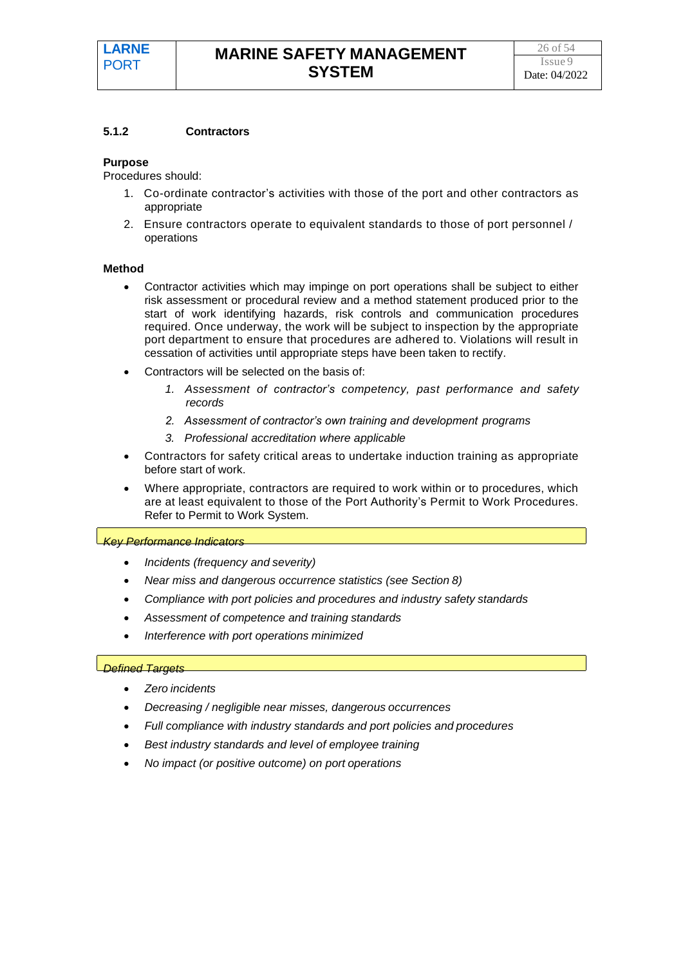#### **5.1.2 Contractors**

#### **Purpose**

Procedures should:

- 1. Co-ordinate contractor's activities with those of the port and other contractors as appropriate
- 2. Ensure contractors operate to equivalent standards to those of port personnel / operations

#### **Method**

- Contractor activities which may impinge on port operations shall be subject to either risk assessment or procedural review and a method statement produced prior to the start of work identifying hazards, risk controls and communication procedures required. Once underway, the work will be subject to inspection by the appropriate port department to ensure that procedures are adhered to. Violations will result in cessation of activities until appropriate steps have been taken to rectify.
- Contractors will be selected on the basis of:
	- *1. Assessment of contractor's competency, past performance and safety records*
	- *2. Assessment of contractor's own training and development programs*
	- *3. Professional accreditation where applicable*
- Contractors for safety critical areas to undertake induction training as appropriate before start of work.
- Where appropriate, contractors are required to work within or to procedures, which are at least equivalent to those of the Port Authority's Permit to Work Procedures. Refer to Permit to Work System.

#### *Key Performance Indicators*

- *Incidents (frequency and severity)*
- *Near miss and dangerous occurrence statistics (see Section 8)*
- *Compliance with port policies and procedures and industry safety standards*
- *Assessment of competence and training standards*
- *Interference with port operations minimized*

- *Zero incidents*
- *Decreasing / negligible near misses, dangerous occurrences*
- *Full compliance with industry standards and port policies and procedures*
- *Best industry standards and level of employee training*
- *No impact (or positive outcome) on port operations*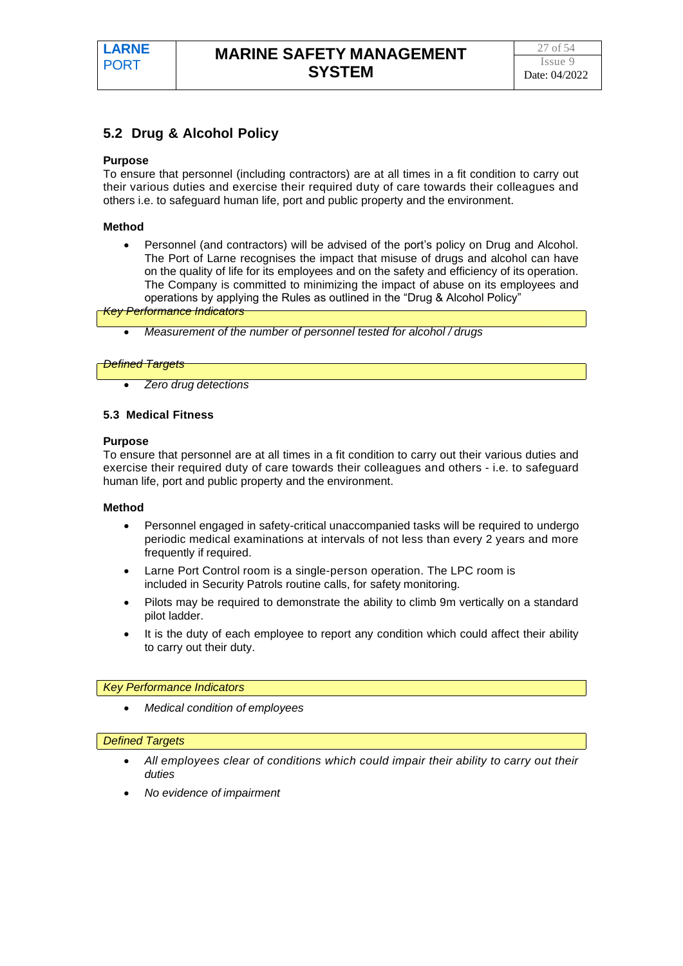# **5.2 Drug & Alcohol Policy**

#### **Purpose**

To ensure that personnel (including contractors) are at all times in a fit condition to carry out their various duties and exercise their required duty of care towards their colleagues and others i.e. to safeguard human life, port and public property and the environment.

#### **Method**

• Personnel (and contractors) will be advised of the port's policy on Drug and Alcohol. The Port of Larne recognises the impact that misuse of drugs and alcohol can have on the quality of life for its employees and on the safety and efficiency of its operation. The Company is committed to minimizing the impact of abuse on its employees and operations by applying the Rules as outlined in the "Drug & Alcohol Policy"

*Key Performance Indicators*

• *Measurement of the number of personnel tested for alcohol / drugs*

#### *Defined Targets*

• *Zero drug detections*

#### **5.3 Medical Fitness**

#### **Purpose**

To ensure that personnel are at all times in a fit condition to carry out their various duties and exercise their required duty of care towards their colleagues and others - i.e. to safeguard human life, port and public property and the environment.

#### **Method**

- Personnel engaged in safety-critical unaccompanied tasks will be required to undergo periodic medical examinations at intervals of not less than every 2 years and more frequently if required.
- Larne Port Control room is a single-person operation. The LPC room is included in Security Patrols routine calls, for safety monitoring.
- Pilots may be required to demonstrate the ability to climb 9m vertically on a standard pilot ladder.
- It is the duty of each employee to report any condition which could affect their ability to carry out their duty.

#### *Key Performance Indicators*

• *Medical condition of employees*

- *All employees clear of conditions which could impair their ability to carry out their duties*
- *No evidence of impairment*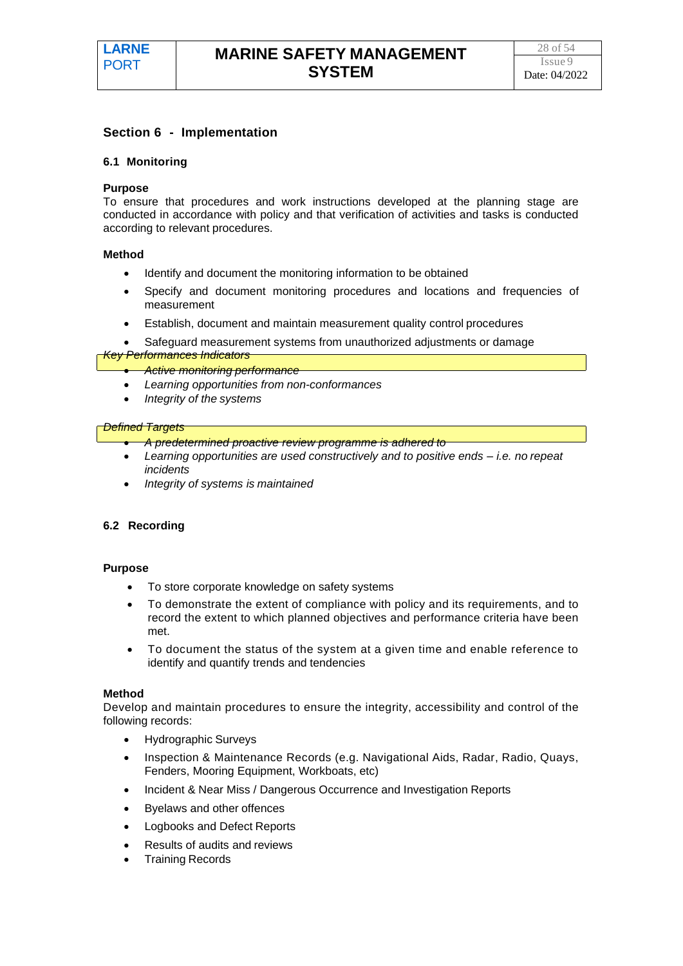#### **Section 6 - Implementation**

#### **6.1 Monitoring**

#### **Purpose**

To ensure that procedures and work instructions developed at the planning stage are conducted in accordance with policy and that verification of activities and tasks is conducted according to relevant procedures.

#### **Method**

- Identify and document the monitoring information to be obtained
- Specify and document monitoring procedures and locations and frequencies of measurement
- Establish, document and maintain measurement quality control procedures
- Safeguard measurement systems from unauthorized adjustments or damage

#### *Key Performances Indicators*

- *Active monitoring performance*
- *Learning opportunities from non-conformances*
- *Integrity of the systems*

#### *Defined Targets*

- *A predetermined proactive review programme is adhered to*
- *Learning opportunities are used constructively and to positive ends – i.e. no repeat incidents*
- *Integrity of systems is maintained*

#### **6.2 Recording**

#### **Purpose**

- To store corporate knowledge on safety systems
- To demonstrate the extent of compliance with policy and its requirements, and to record the extent to which planned objectives and performance criteria have been met.
- To document the status of the system at a given time and enable reference to identify and quantify trends and tendencies

#### **Method**

Develop and maintain procedures to ensure the integrity, accessibility and control of the following records:

- Hydrographic Surveys
- Inspection & Maintenance Records (e.g. Navigational Aids, Radar, Radio, Quays, Fenders, Mooring Equipment, Workboats, etc)
- Incident & Near Miss / Dangerous Occurrence and Investigation Reports
- Byelaws and other offences
- Logbooks and Defect Reports
- Results of audits and reviews
- Training Records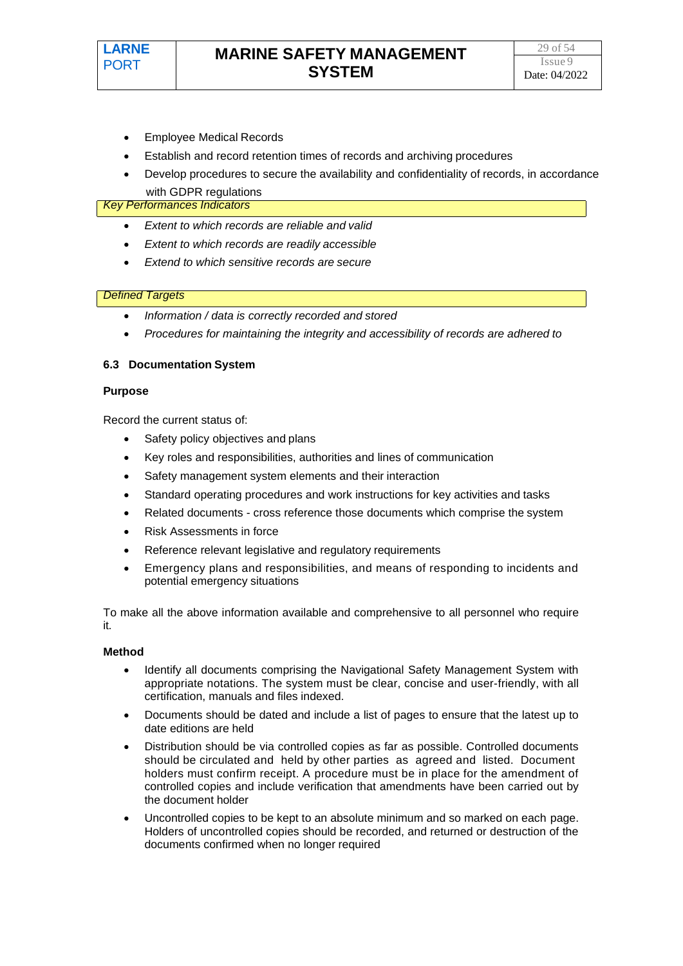- Employee Medical Records
- Establish and record retention times of records and archiving procedures
- Develop procedures to secure the availability and confidentiality of records, in accordance with GDPR regulations

#### *Key Performances Indicators*

- *Extent to which records are reliable and valid*
- *Extent to which records are readily accessible*
- *Extend to which sensitive records are secure*

#### *Defined Targets*

- *Information / data is correctly recorded and stored*
- *Procedures for maintaining the integrity and accessibility of records are adhered to*

#### **6.3 Documentation System**

#### **Purpose**

Record the current status of:

- Safety policy objectives and plans
- Key roles and responsibilities, authorities and lines of communication
- Safety management system elements and their interaction
- Standard operating procedures and work instructions for key activities and tasks
- Related documents cross reference those documents which comprise the system
- Risk Assessments in force
- Reference relevant legislative and regulatory requirements
- Emergency plans and responsibilities, and means of responding to incidents and potential emergency situations

To make all the above information available and comprehensive to all personnel who require it.

#### **Method**

- Identify all documents comprising the Navigational Safety Management System with appropriate notations. The system must be clear, concise and user-friendly, with all certification, manuals and files indexed.
- Documents should be dated and include a list of pages to ensure that the latest up to date editions are held
- Distribution should be via controlled copies as far as possible. Controlled documents should be circulated and held by other parties as agreed and listed. Document holders must confirm receipt. A procedure must be in place for the amendment of controlled copies and include verification that amendments have been carried out by the document holder
- Uncontrolled copies to be kept to an absolute minimum and so marked on each page. Holders of uncontrolled copies should be recorded, and returned or destruction of the documents confirmed when no longer required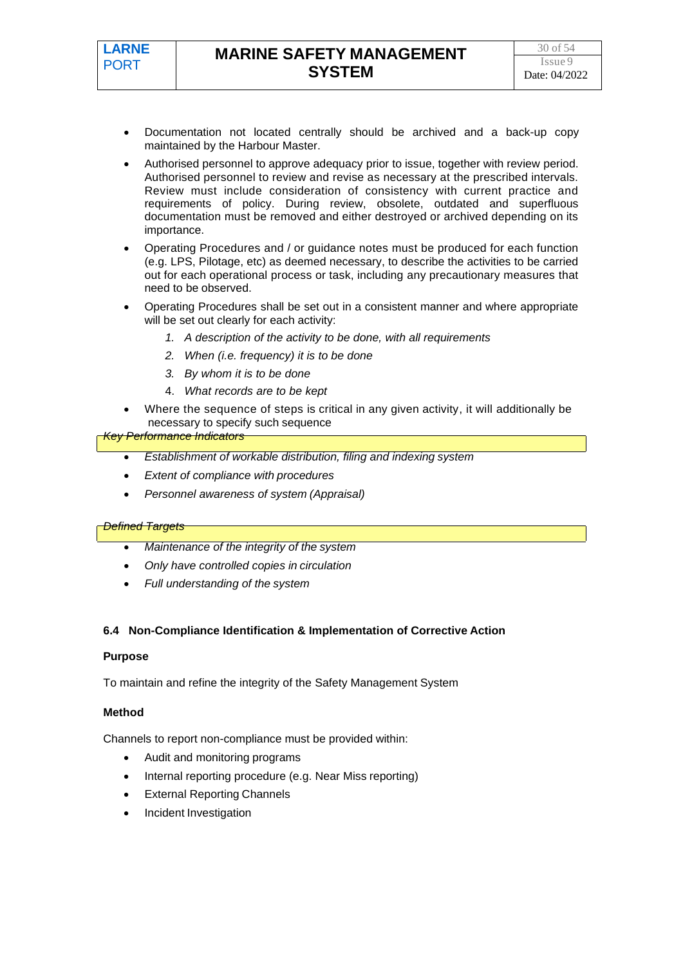- Documentation not located centrally should be archived and a back-up copy maintained by the Harbour Master.
- Authorised personnel to approve adequacy prior to issue, together with review period. Authorised personnel to review and revise as necessary at the prescribed intervals. Review must include consideration of consistency with current practice and requirements of policy. During review, obsolete, outdated and superfluous documentation must be removed and either destroyed or archived depending on its importance.
- Operating Procedures and / or guidance notes must be produced for each function (e.g. LPS, Pilotage, etc) as deemed necessary, to describe the activities to be carried out for each operational process or task, including any precautionary measures that need to be observed.
- Operating Procedures shall be set out in a consistent manner and where appropriate will be set out clearly for each activity:
	- *1. A description of the activity to be done, with all requirements*
	- *2. When (i.e. frequency) it is to be done*
	- *3. By whom it is to be done*
	- 4. *What records are to be kept*
- Where the sequence of steps is critical in any given activity, it will additionally be necessary to specify such sequence

### *Key Performance Indicators*

- *Establishment of workable distribution, filing and indexing system*
- *Extent of compliance with procedures*
- *Personnel awareness of system (Appraisal)*

#### *Defined Targets*

- *Maintenance of the integrity of the system*
- *Only have controlled copies in circulation*
- *Full understanding of the system*

#### **6.4 Non-Compliance Identification & Implementation of Corrective Action**

#### **Purpose**

To maintain and refine the integrity of the Safety Management System

#### **Method**

Channels to report non-compliance must be provided within:

- Audit and monitoring programs
- Internal reporting procedure (e.g. Near Miss reporting)
- **External Reporting Channels**
- Incident Investigation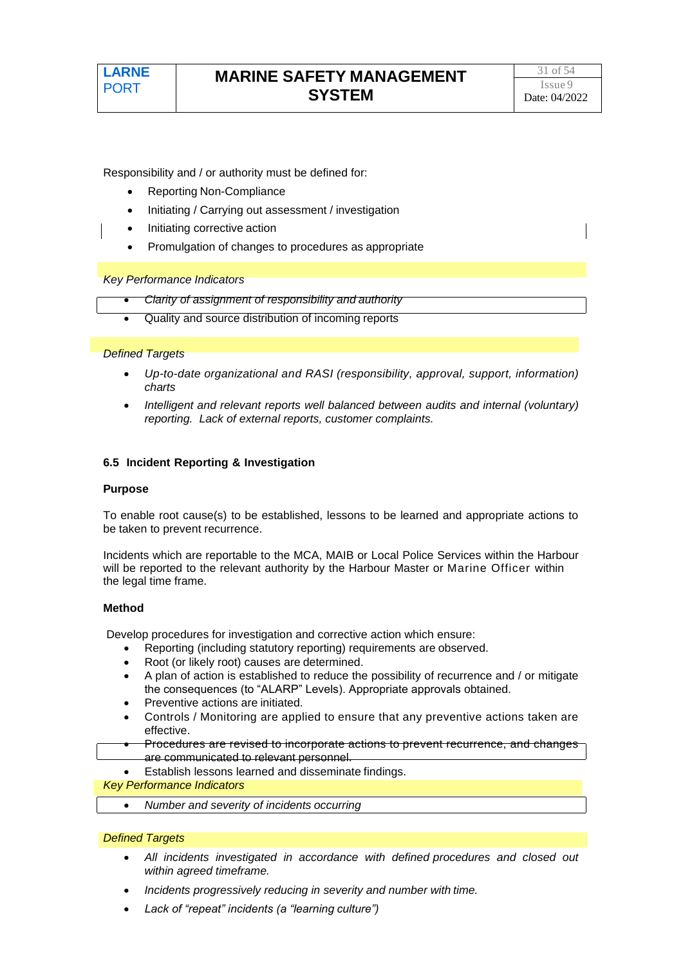Responsibility and / or authority must be defined for:

- Reporting Non-Compliance
- Initiating / Carrying out assessment / investigation
- Initiating corrective action
- Promulgation of changes to procedures as appropriate

*Key Performance Indicators*

- *Clarity of assignment of responsibility and authority*
- Quality and source distribution of incoming reports

#### *Defined Targets*

- *Up-to-date organizational and RASI (responsibility, approval, support, information) charts*
- *Intelligent and relevant reports well balanced between audits and internal (voluntary) reporting. Lack of external reports, customer complaints.*

#### **6.5 Incident Reporting & Investigation**

#### **Purpose**

To enable root cause(s) to be established, lessons to be learned and appropriate actions to be taken to prevent recurrence.

Incidents which are reportable to the MCA, MAIB or Local Police Services within the Harbour will be reported to the relevant authority by the Harbour Master or Marine Officer within the legal time frame.

#### **Method**

Develop procedures for investigation and corrective action which ensure:

- Reporting (including statutory reporting) requirements are observed.
- Root (or likely root) causes are determined.
- A plan of action is established to reduce the possibility of recurrence and / or mitigate the consequences (to "ALARP" Levels). Appropriate approvals obtained.
- Preventive actions are initiated.
- Controls / Monitoring are applied to ensure that any preventive actions taken are effective.
- Procedures are revised to incorporate actions to prevent recurrence, and changes are communicated to relevant personnel.
	- Establish lessons learned and disseminate findings.

*Key Performance Indicators*

• *Number and severity of incidents occurring*

- *All incidents investigated in accordance with defined procedures and closed out within agreed timeframe.*
- *Incidents progressively reducing in severity and number with time.*
- *Lack of "repeat" incidents (a "learning culture")*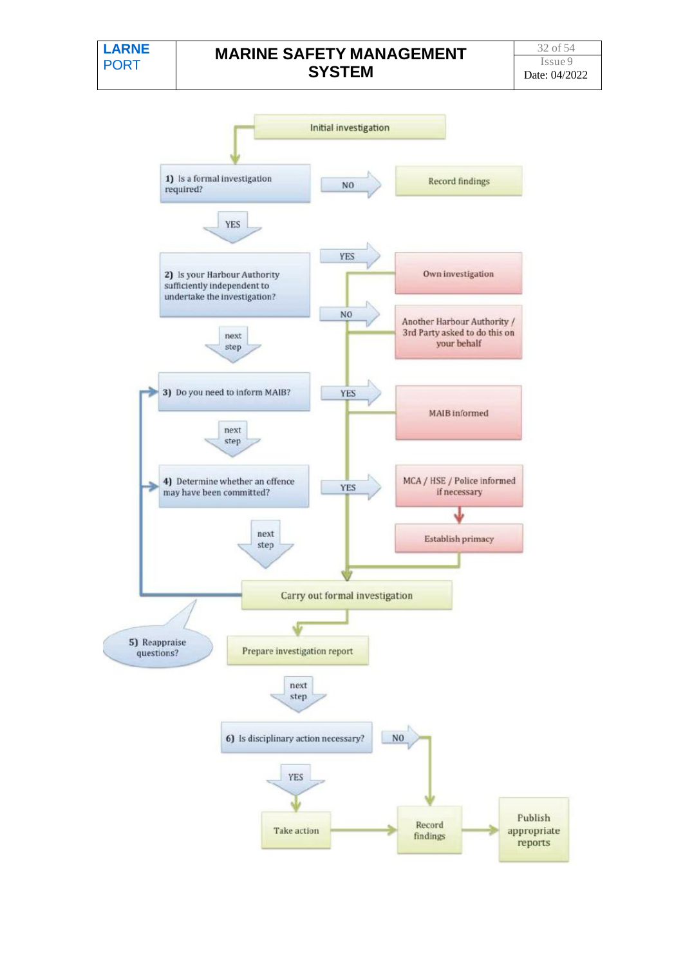# **MARINE SAFETY MANAGEMENT SYSTEM**

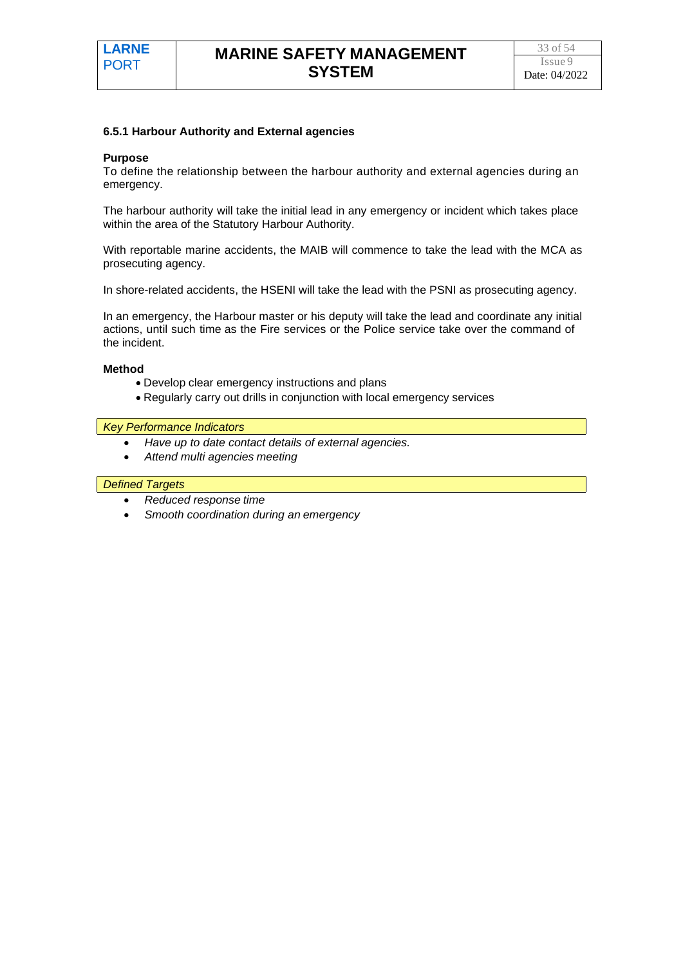#### **6.5.1 Harbour Authority and External agencies**

#### **Purpose**

To define the relationship between the harbour authority and external agencies during an emergency.

The harbour authority will take the initial lead in any emergency or incident which takes place within the area of the Statutory Harbour Authority.

With reportable marine accidents, the MAIB will commence to take the lead with the MCA as prosecuting agency.

In shore-related accidents, the HSENI will take the lead with the PSNI as prosecuting agency.

In an emergency, the Harbour master or his deputy will take the lead and coordinate any initial actions, until such time as the Fire services or the Police service take over the command of the incident.

#### **Method**

- Develop clear emergency instructions and plans
- Regularly carry out drills in conjunction with local emergency services

#### *Key Performance Indicators*

- *Have up to date contact details of external agencies.*
- *Attend multi agencies meeting*

- *Reduced response time*
- *Smooth coordination during an emergency*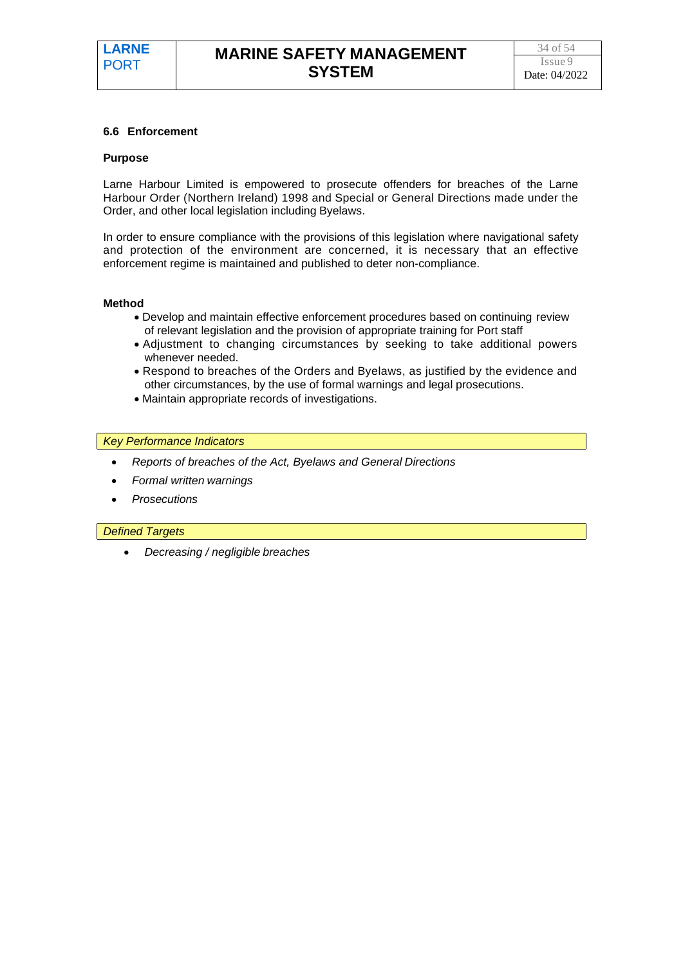#### **6.6 Enforcement**

#### **Purpose**

Larne Harbour Limited is empowered to prosecute offenders for breaches of the Larne Harbour Order (Northern Ireland) 1998 and Special or General Directions made under the Order, and other local legislation including Byelaws.

In order to ensure compliance with the provisions of this legislation where navigational safety and protection of the environment are concerned, it is necessary that an effective enforcement regime is maintained and published to deter non-compliance.

#### **Method**

- Develop and maintain effective enforcement procedures based on continuing review of relevant legislation and the provision of appropriate training for Port staff
- Adjustment to changing circumstances by seeking to take additional powers whenever needed.
- Respond to breaches of the Orders and Byelaws, as justified by the evidence and other circumstances, by the use of formal warnings and legal prosecutions.
- Maintain appropriate records of investigations.

#### *Key Performance Indicators*

- *Reports of breaches of the Act, Byelaws and General Directions*
- *Formal written warnings*
- *Prosecutions*

#### *Defined Targets*

• *Decreasing / negligible breaches*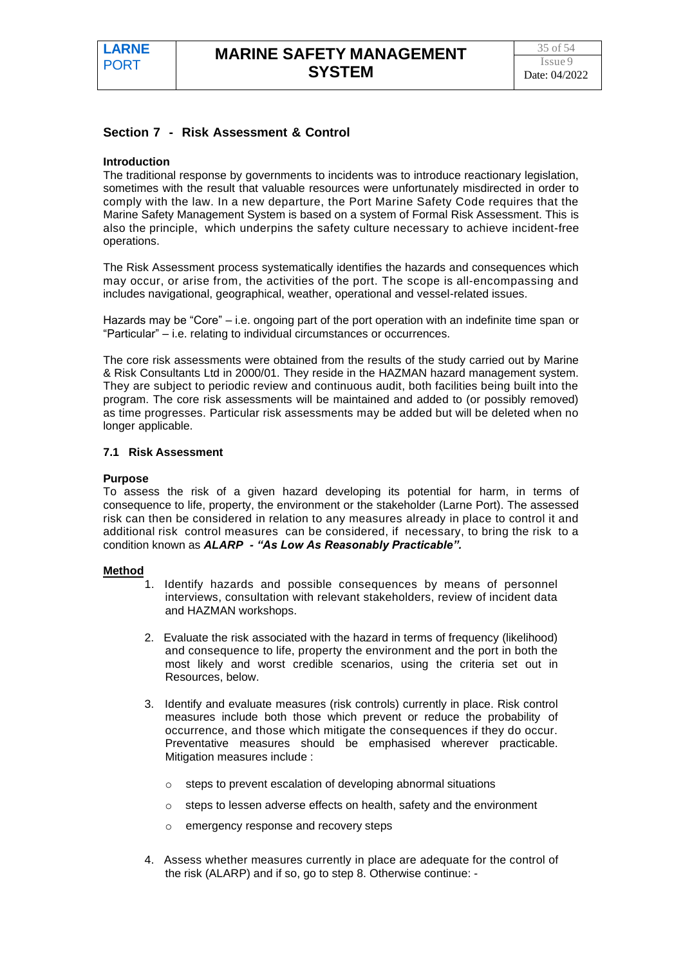#### **Section 7 - Risk Assessment & Control**

#### **Introduction**

The traditional response by governments to incidents was to introduce reactionary legislation, sometimes with the result that valuable resources were unfortunately misdirected in order to comply with the law. In a new departure, the Port Marine Safety Code requires that the Marine Safety Management System is based on a system of Formal Risk Assessment. This is also the principle, which underpins the safety culture necessary to achieve incident-free operations.

The Risk Assessment process systematically identifies the hazards and consequences which may occur, or arise from, the activities of the port. The scope is all-encompassing and includes navigational, geographical, weather, operational and vessel-related issues.

Hazards may be "Core" – i.e. ongoing part of the port operation with an indefinite time span or "Particular" – i.e. relating to individual circumstances or occurrences.

The core risk assessments were obtained from the results of the study carried out by Marine & Risk Consultants Ltd in 2000/01. They reside in the HAZMAN hazard management system. They are subject to periodic review and continuous audit, both facilities being built into the program. The core risk assessments will be maintained and added to (or possibly removed) as time progresses. Particular risk assessments may be added but will be deleted when no longer applicable.

#### **7.1 Risk Assessment**

#### **Purpose**

To assess the risk of a given hazard developing its potential for harm, in terms of consequence to life, property, the environment or the stakeholder (Larne Port). The assessed risk can then be considered in relation to any measures already in place to control it and additional risk control measures can be considered, if necessary, to bring the risk to a condition known as *ALARP - "As Low As Reasonably Practicable".*

#### **Method**

- 1. Identify hazards and possible consequences by means of personnel interviews, consultation with relevant stakeholders, review of incident data and HAZMAN workshops.
- 2. Evaluate the risk associated with the hazard in terms of frequency (likelihood) and consequence to life, property the environment and the port in both the most likely and worst credible scenarios, using the criteria set out in Resources, below.
- 3. Identify and evaluate measures (risk controls) currently in place. Risk control measures include both those which prevent or reduce the probability of occurrence, and those which mitigate the consequences if they do occur. Preventative measures should be emphasised wherever practicable. Mitigation measures include :
	- o steps to prevent escalation of developing abnormal situations
	- $\circ$  steps to lessen adverse effects on health, safety and the environment
	- o emergency response and recovery steps
- 4. Assess whether measures currently in place are adequate for the control of the risk (ALARP) and if so, go to step 8. Otherwise continue: -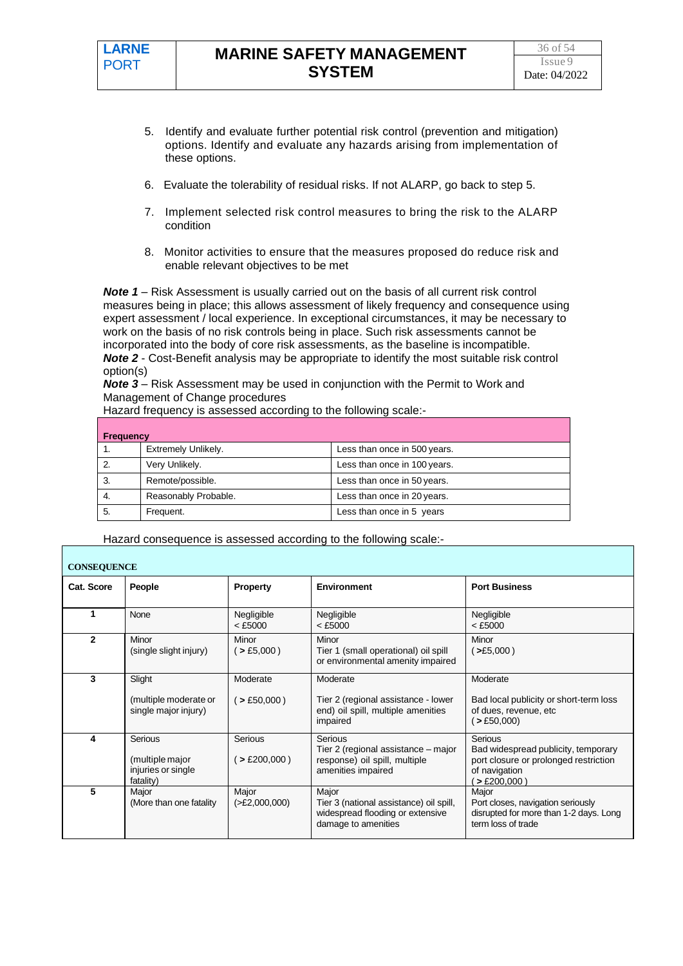- 5. Identify and evaluate further potential risk control (prevention and mitigation) options. Identify and evaluate any hazards arising from implementation of these options.
- 6. Evaluate the tolerability of residual risks. If not ALARP, go back to step 5.
- 7. Implement selected risk control measures to bring the risk to the ALARP condition
- 8. Monitor activities to ensure that the measures proposed do reduce risk and enable relevant objectives to be met

*Note 1* – Risk Assessment is usually carried out on the basis of all current risk control measures being in place; this allows assessment of likely frequency and consequence using expert assessment / local experience. In exceptional circumstances, it may be necessary to work on the basis of no risk controls being in place. Such risk assessments cannot be incorporated into the body of core risk assessments, as the baseline is incompatible. *Note 2* - Cost-Benefit analysis may be appropriate to identify the most suitable risk control option(s)

*Note 3* – Risk Assessment may be used in conjunction with the Permit to Work and Management of Change procedures

Hazard frequency is assessed according to the following scale:-

| <b>Frequency</b> |                      |                              |  |  |
|------------------|----------------------|------------------------------|--|--|
|                  | Extremely Unlikely.  | Less than once in 500 years. |  |  |
|                  | Very Unlikely.       | Less than once in 100 years. |  |  |
| 3.               | Remote/possible.     | Less than once in 50 years.  |  |  |
| -4.              | Reasonably Probable. | Less than once in 20 years.  |  |  |
| 5.               | Frequent.            | Less than once in 5 years    |  |  |

Hazard consequence is assessed according to the following scale:-

| <b>CONSEQUENCE</b> |                                                               |                          |                                                                                                             |                                                                                                                           |  |
|--------------------|---------------------------------------------------------------|--------------------------|-------------------------------------------------------------------------------------------------------------|---------------------------------------------------------------------------------------------------------------------------|--|
| Cat. Score         | People                                                        | <b>Property</b>          | <b>Environment</b>                                                                                          | <b>Port Business</b>                                                                                                      |  |
|                    | None                                                          | Negligible<br>$<$ £5000  | Negligible<br>$<$ £5000                                                                                     | Negligible<br>$<$ £5000                                                                                                   |  |
| 2                  | Minor<br>(single slight injury)                               | Minor<br>$($ > £5,000)   | Minor<br>Tier 1 (small operational) oil spill<br>or environmental amenity impaired                          | Minor<br>$($ >£5,000)                                                                                                     |  |
| 3                  | Slight<br>(multiple moderate or<br>single major injury)       | Moderate<br>( > £50,000) | Moderate<br>Tier 2 (regional assistance - lower<br>end) oil spill, multiple amenities<br>impaired           | Moderate<br>Bad local publicity or short-term loss<br>of dues, revenue, etc<br>$($ > £50,000)                             |  |
| 4                  | Serious<br>(multiple major<br>injuries or single<br>fatality) | Serious<br>$>$ £200,000) | Serious<br>Tier 2 (regional assistance – major<br>response) oil spill, multiple<br>amenities impaired       | Serious<br>Bad widespread publicity, temporary<br>port closure or prolonged restriction<br>of navigation<br>$>$ £200,000) |  |
| 5                  | Major<br>(More than one fatality                              | Major<br>( >E2,000,000)  | Major<br>Tier 3 (national assistance) oil spill,<br>widespread flooding or extensive<br>damage to amenities | Major<br>Port closes, navigation seriously<br>disrupted for more than 1-2 days. Long<br>term loss of trade                |  |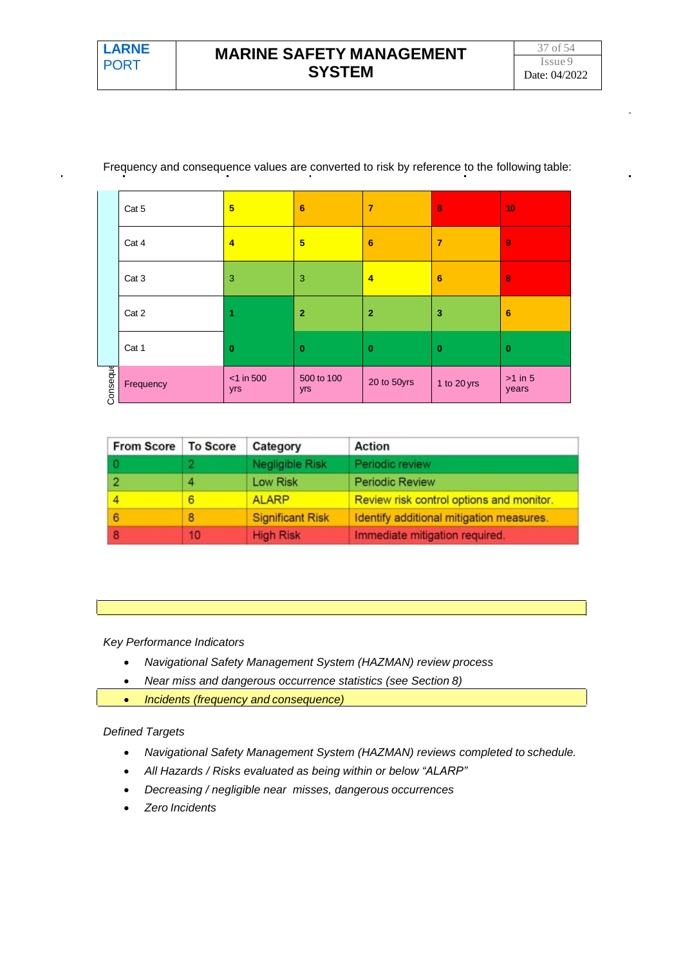|          | Cat 5            | 5                   | $6\phantom{1}6$   | $\overline{7}$ | $\bf{8}$       | 10                 |
|----------|------------------|---------------------|-------------------|----------------|----------------|--------------------|
|          | Cat 4            | 4                   | 5                 | 6              | $\overline{7}$ | $\overline{9}$     |
|          | Cat <sub>3</sub> | 3                   | 3                 | $\overline{4}$ | 6              | 8                  |
|          | Cat 2            | 1                   | $\overline{2}$    | $\overline{2}$ | 3              | $6\phantom{1}6$    |
|          | Cat 1            | $\bf{0}$            | $\bf{0}$          | $\bf{0}$       | $\mathbf 0$    | $\bf{0}$           |
| Conseque | Frequency        | $<$ 1 in 500<br>yrs | 500 to 100<br>yrs | 20 to 50yrs    | 1 to 20 yrs    | $>1$ in 5<br>years |

Frequency and consequence values are converted to risk by reference to the following table:

| <b>From Score</b> | <b>To Score</b> | Category                | Action                                   |
|-------------------|-----------------|-------------------------|------------------------------------------|
|                   |                 | Negligible Risk         | Periodic review                          |
|                   |                 | Low Risk                | <b>Periodic Review</b>                   |
|                   | 6               | <b>ALARP</b>            | Review risk control options and monitor. |
| 6                 | 8               | <b>Significant Risk</b> | Identify additional mitigation measures. |
|                   | 10              | <b>High Risk</b>        | Immediate mitigation required.           |

#### *Key Performance Indicators*

- *Navigational Safety Management System (HAZMAN) review process*
- *Near miss and dangerous occurrence statistics (see Section 8)*
- *Incidents (frequency and consequence)*

- *Navigational Safety Management System (HAZMAN) reviews completed to schedule.*
- *All Hazards / Risks evaluated as being within or below "ALARP"*
- *Decreasing / negligible near misses, dangerous occurrences*
- *Zero Incidents*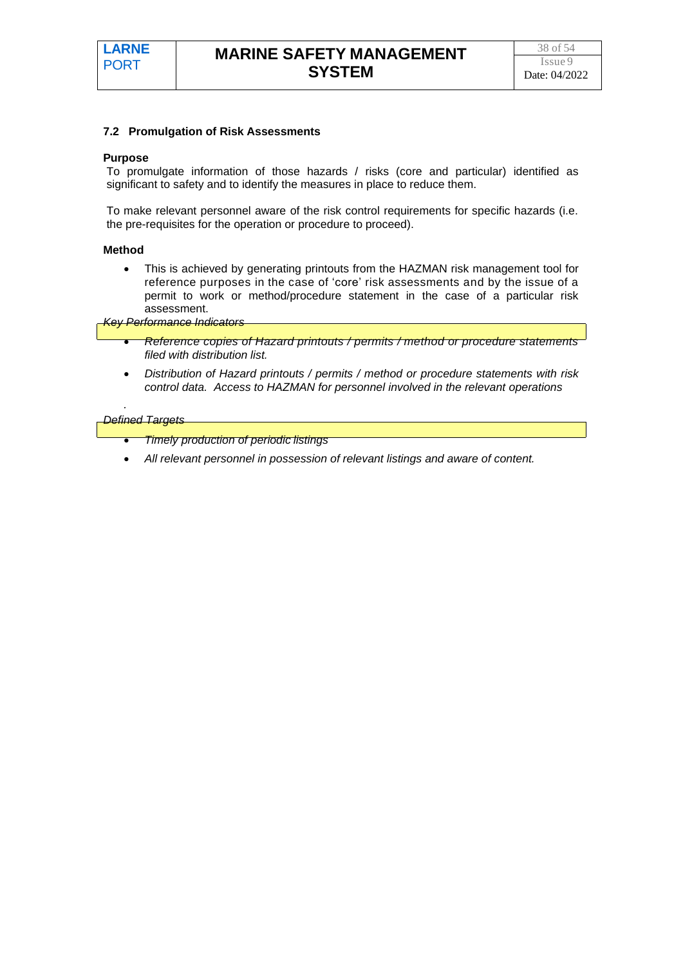#### **7.2 Promulgation of Risk Assessments**

#### **Purpose**

To promulgate information of those hazards / risks (core and particular) identified as significant to safety and to identify the measures in place to reduce them.

To make relevant personnel aware of the risk control requirements for specific hazards (i.e. the pre-requisites for the operation or procedure to proceed).

#### **Method**

• This is achieved by generating printouts from the HAZMAN risk management tool for reference purposes in the case of 'core' risk assessments and by the issue of a permit to work or method/procedure statement in the case of a particular risk assessment.

*Key Performance Indicators*

- *Reference copies of Hazard printouts / permits / method or procedure statements filed with distribution list.*
- *Distribution of Hazard printouts / permits / method or procedure statements with risk control data. Access to HAZMAN for personnel involved in the relevant operations*

#### *Defined Targets*

*.*

- *Timely production of periodic listings*
- *All relevant personnel in possession of relevant listings and aware of content.*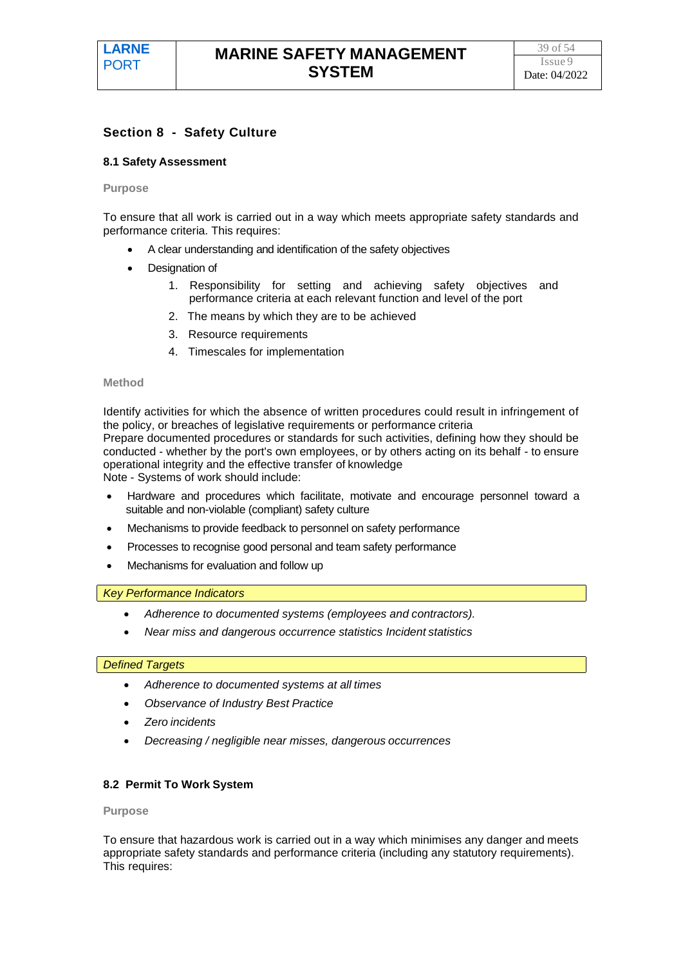#### **Section 8 - Safety Culture**

#### **8.1 Safety Assessment**

#### **Purpose**

To ensure that all work is carried out in a way which meets appropriate safety standards and performance criteria. This requires:

- A clear understanding and identification of the safety objectives
- Designation of
	- 1. Responsibility for setting and achieving safety objectives and performance criteria at each relevant function and level of the port
	- 2. The means by which they are to be achieved
	- 3. Resource requirements
	- 4. Timescales for implementation

#### **Method**

Identify activities for which the absence of written procedures could result in infringement of the policy, or breaches of legislative requirements or performance criteria Prepare documented procedures or standards for such activities, defining how they should be conducted - whether by the port's own employees, or by others acting on its behalf - to ensure operational integrity and the effective transfer of knowledge Note - Systems of work should include:

- Hardware and procedures which facilitate, motivate and encourage personnel toward a suitable and non-violable (compliant) safety culture
- Mechanisms to provide feedback to personnel on safety performance
- Processes to recognise good personal and team safety performance
- Mechanisms for evaluation and follow up

*Key Performance Indicators*

- *Adherence to documented systems (employees and contractors).*
- *Near miss and dangerous occurrence statistics Incident statistics*

#### *Defined Targets*

- *Adherence to documented systems at all times*
- *Observance of Industry Best Practice*
- *Zero incidents*
- *Decreasing / negligible near misses, dangerous occurrences*

#### **8.2 Permit To Work System**

**Purpose**

To ensure that hazardous work is carried out in a way which minimises any danger and meets appropriate safety standards and performance criteria (including any statutory requirements). This requires: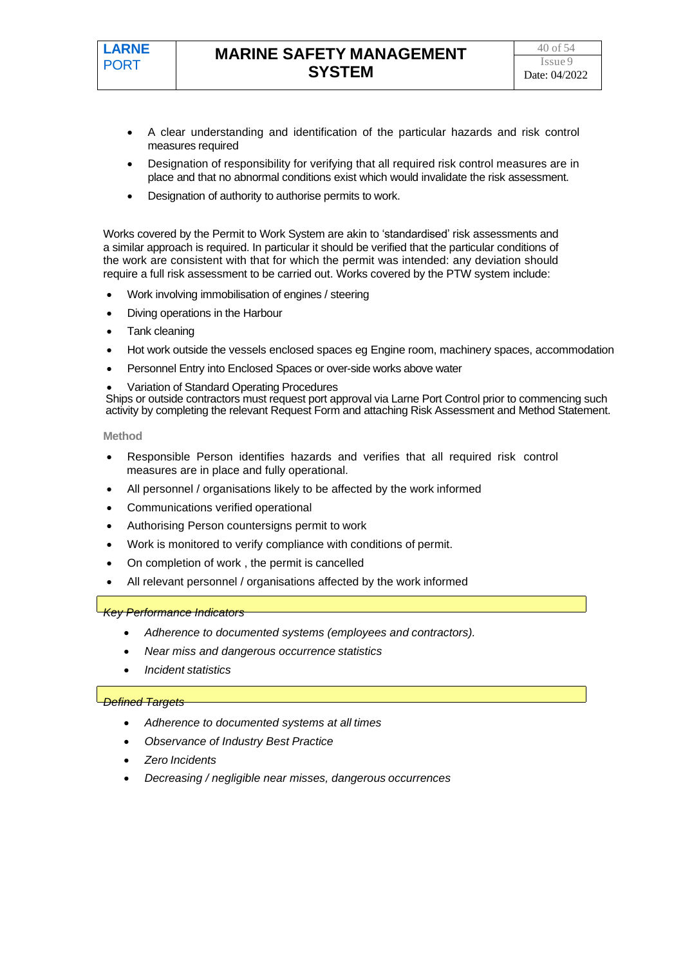- A clear understanding and identification of the particular hazards and risk control measures required
- Designation of responsibility for verifying that all required risk control measures are in place and that no abnormal conditions exist which would invalidate the risk assessment.
- Designation of authority to authorise permits to work.

Works covered by the Permit to Work System are akin to 'standardised' risk assessments and a similar approach is required. In particular it should be verified that the particular conditions of the work are consistent with that for which the permit was intended: any deviation should require a full risk assessment to be carried out. Works covered by the PTW system include:

- Work involving immobilisation of engines / steering
- Diving operations in the Harbour
- Tank cleaning
- Hot work outside the vessels enclosed spaces eg Engine room, machinery spaces, accommodation
- Personnel Entry into Enclosed Spaces or over-side works above water
- Variation of Standard Operating Procedures

Ships or outside contractors must request port approval via Larne Port Control prior to commencing such activity by completing the relevant Request Form and attaching Risk Assessment and Method Statement.

**Method**

- Responsible Person identifies hazards and verifies that all required risk control measures are in place and fully operational.
- All personnel / organisations likely to be affected by the work informed
- Communications verified operational
- Authorising Person countersigns permit to work
- Work is monitored to verify compliance with conditions of permit.
- On completion of work , the permit is cancelled
- All relevant personnel / organisations affected by the work informed

*Key Performance Indicators*

- *Adherence to documented systems (employees and contractors).*
- *Near miss and dangerous occurrence statistics*
- *Incident statistics*

- *Adherence to documented systems at all times*
- *Observance of Industry Best Practice*
- *Zero Incidents*
- *Decreasing / negligible near misses, dangerous occurrences*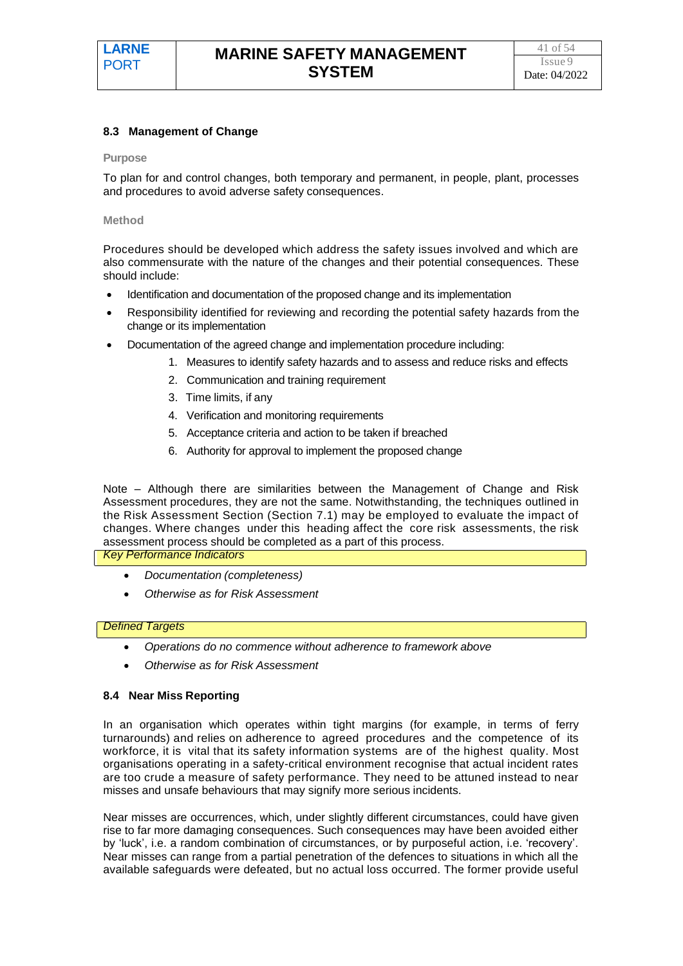#### **8.3 Management of Change**

#### **Purpose**

To plan for and control changes, both temporary and permanent, in people, plant, processes and procedures to avoid adverse safety consequences.

#### **Method**

Procedures should be developed which address the safety issues involved and which are also commensurate with the nature of the changes and their potential consequences. These should include:

- Identification and documentation of the proposed change and its implementation
- Responsibility identified for reviewing and recording the potential safety hazards from the change or its implementation
- Documentation of the agreed change and implementation procedure including:
	- 1. Measures to identify safety hazards and to assess and reduce risks and effects
	- 2. Communication and training requirement
	- 3. Time limits, if any
	- 4. Verification and monitoring requirements
	- 5. Acceptance criteria and action to be taken if breached
	- 6. Authority for approval to implement the proposed change

Note – Although there are similarities between the Management of Change and Risk Assessment procedures, they are not the same. Notwithstanding, the techniques outlined in the Risk Assessment Section (Section 7.1) may be employed to evaluate the impact of changes. Where changes under this heading affect the core risk assessments, the risk assessment process should be completed as a part of this process.

#### *Key Performance Indicators*

- *Documentation (completeness)*
- *Otherwise as for Risk Assessment*

#### *Defined Targets*

- *Operations do no commence without adherence to framework above*
- *Otherwise as for Risk Assessment*

#### **8.4 Near Miss Reporting**

In an organisation which operates within tight margins (for example, in terms of ferry turnarounds) and relies on adherence to agreed procedures and the competence of its workforce, it is vital that its safety information systems are of the highest quality. Most organisations operating in a safety-critical environment recognise that actual incident rates are too crude a measure of safety performance. They need to be attuned instead to near misses and unsafe behaviours that may signify more serious incidents.

Near misses are occurrences, which, under slightly different circumstances, could have given rise to far more damaging consequences. Such consequences may have been avoided either by 'luck', i.e. a random combination of circumstances, or by purposeful action, i.e. 'recovery'. Near misses can range from a partial penetration of the defences to situations in which all the available safeguards were defeated, but no actual loss occurred. The former provide useful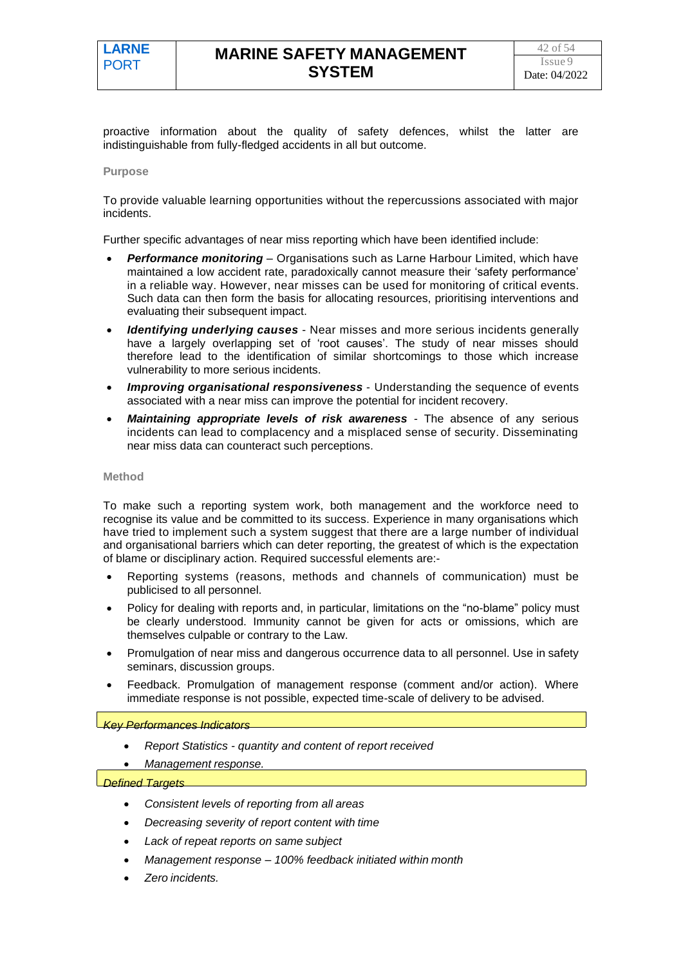proactive information about the quality of safety defences, whilst the latter are indistinguishable from fully-fledged accidents in all but outcome.

#### **Purpose**

To provide valuable learning opportunities without the repercussions associated with major incidents.

Further specific advantages of near miss reporting which have been identified include:

- *Performance monitoring* Organisations such as Larne Harbour Limited, which have maintained a low accident rate, paradoxically cannot measure their 'safety performance' in a reliable way. However, near misses can be used for monitoring of critical events. Such data can then form the basis for allocating resources, prioritising interventions and evaluating their subsequent impact.
- *Identifying underlying causes* Near misses and more serious incidents generally have a largely overlapping set of 'root causes'. The study of near misses should therefore lead to the identification of similar shortcomings to those which increase vulnerability to more serious incidents.
- *Improving organisational responsiveness* Understanding the sequence of events associated with a near miss can improve the potential for incident recovery.
- Maintaining appropriate levels of risk awareness The absence of any serious incidents can lead to complacency and a misplaced sense of security. Disseminating near miss data can counteract such perceptions.

#### **Method**

To make such a reporting system work, both management and the workforce need to recognise its value and be committed to its success. Experience in many organisations which have tried to implement such a system suggest that there are a large number of individual and organisational barriers which can deter reporting, the greatest of which is the expectation of blame or disciplinary action. Required successful elements are:-

- Reporting systems (reasons, methods and channels of communication) must be publicised to all personnel.
- Policy for dealing with reports and, in particular, limitations on the "no-blame" policy must be clearly understood. Immunity cannot be given for acts or omissions, which are themselves culpable or contrary to the Law.
- Promulgation of near miss and dangerous occurrence data to all personnel. Use in safety seminars, discussion groups.
- Feedback. Promulgation of management response (comment and/or action). Where immediate response is not possible, expected time-scale of delivery to be advised.

#### *Key Performances Indicators*

- *Report Statistics - quantity and content of report received*
- *Management response.*

- *Consistent levels of reporting from all areas*
- *Decreasing severity of report content with time*
- *Lack of repeat reports on same subject*
- *Management response – 100% feedback initiated within month*
- *Zero incidents.*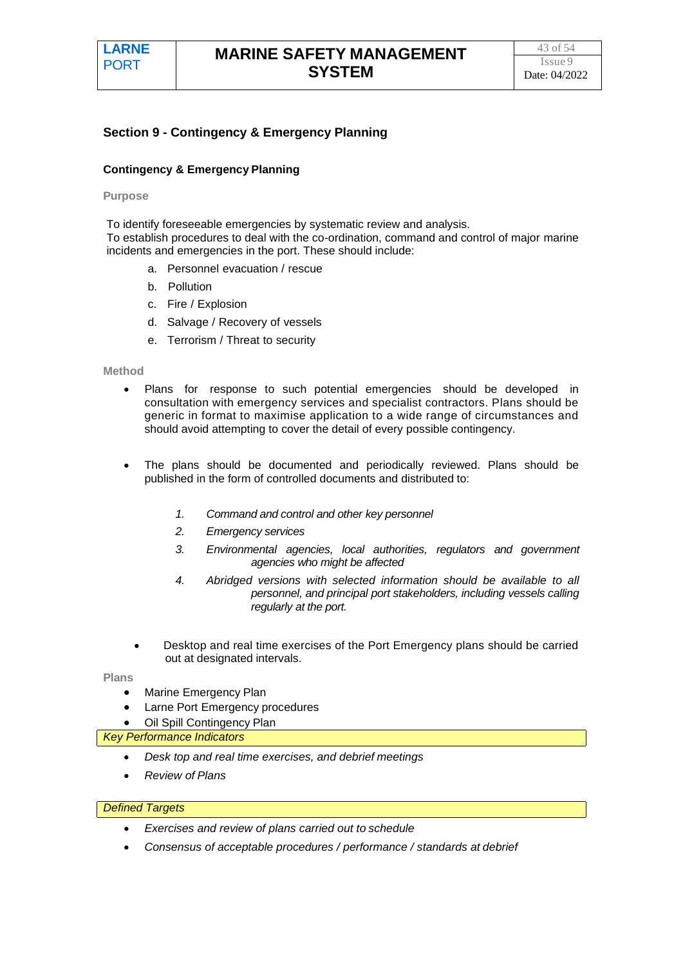### **Section 9 - Contingency & Emergency Planning**

#### **Contingency & Emergency Planning**

#### **Purpose**

To identify foreseeable emergencies by systematic review and analysis. To establish procedures to deal with the co-ordination, command and control of major marine incidents and emergencies in the port. These should include:

- a. Personnel evacuation / rescue
- b. Pollution
- c. Fire / Explosion
- d. Salvage / Recovery of vessels
- e. Terrorism / Threat to security

#### **Method**

- Plans for response to such potential emergencies should be developed in consultation with emergency services and specialist contractors. Plans should be generic in format to maximise application to a wide range of circumstances and should avoid attempting to cover the detail of every possible contingency.
- The plans should be documented and periodically reviewed. Plans should be published in the form of controlled documents and distributed to:
	- *1. Command and control and other key personnel*
	- *2. Emergency services*
	- *3. Environmental agencies, local authorities, regulators and government agencies who might be affected*
	- *4. Abridged versions with selected information should be available to all personnel, and principal port stakeholders, including vessels calling regularly at the port.*
	- Desktop and real time exercises of the Port Emergency plans should be carried out at designated intervals.

#### **Plans**

- **Marine Emergency Plan**
- Larne Port Emergency procedures
- **Oil Spill Contingency Plan**

#### *Key Performance Indicators*

- *Desk top and real time exercises, and debrief meetings*
- *Review of Plans*

- *Exercises and review of plans carried out to schedule*
- *Consensus of acceptable procedures / performance / standards at debrief*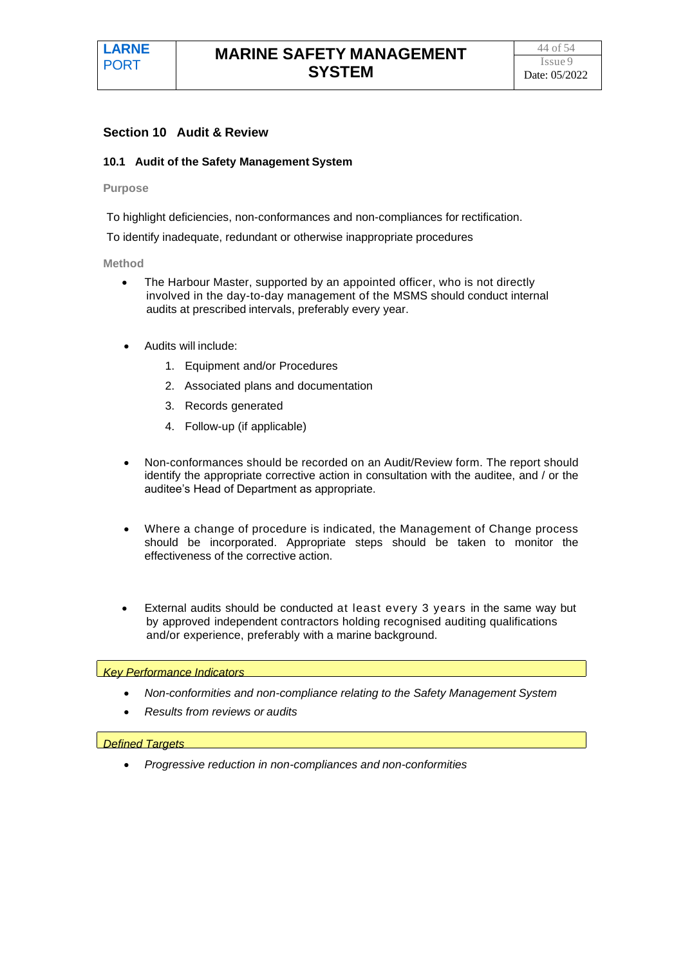#### **Section 10 Audit & Review**

#### **10.1 Audit of the Safety Management System**

#### **Purpose**

To highlight deficiencies, non-conformances and non-compliances for rectification.

To identify inadequate, redundant or otherwise inappropriate procedures

#### **Method**

- The Harbour Master, supported by an appointed officer, who is not directly involved in the day-to-day management of the MSMS should conduct internal audits at prescribed intervals, preferably every year.
- Audits will include:
	- 1. Equipment and/or Procedures
	- 2. Associated plans and documentation
	- 3. Records generated
	- 4. Follow-up (if applicable)
- Non-conformances should be recorded on an Audit/Review form. The report should identify the appropriate corrective action in consultation with the auditee, and / or the auditee's Head of Department as appropriate.
- Where a change of procedure is indicated, the Management of Change process should be incorporated. Appropriate steps should be taken to monitor the effectiveness of the corrective action.
- External audits should be conducted at least every 3 years in the same way but by approved independent contractors holding recognised auditing qualifications and/or experience, preferably with a marine background.

#### *Key Performance Indicators*

- *Non-conformities and non-compliance relating to the Safety Management System*
- *Results from reviews or audits*

#### *Defined Targets*

• *Progressive reduction in non-compliances and non-conformities*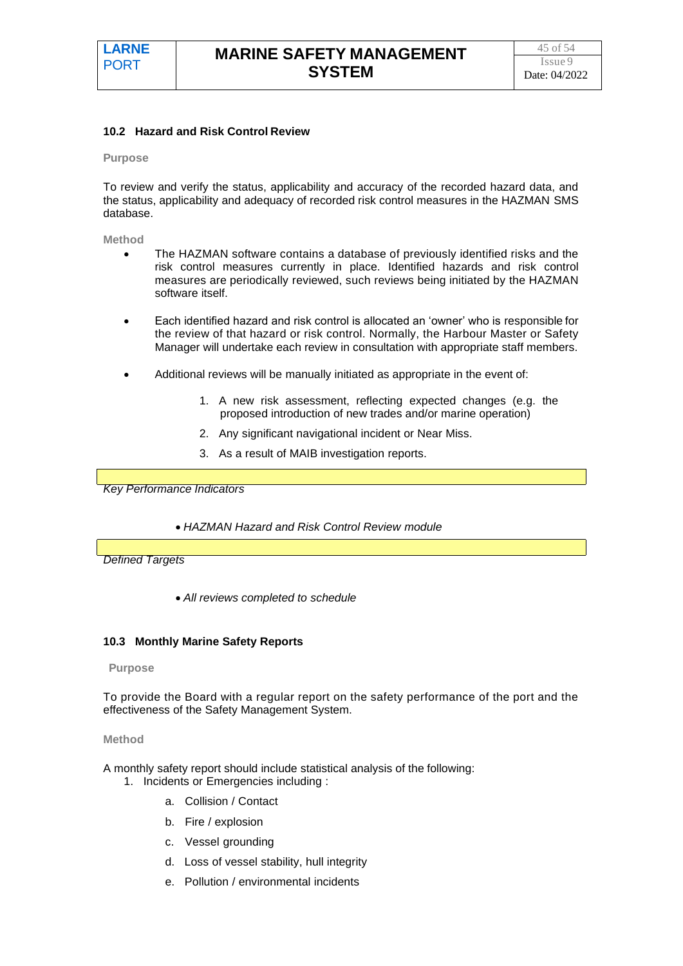#### **10.2 Hazard and Risk Control Review**

#### **Purpose**

To review and verify the status, applicability and accuracy of the recorded hazard data, and the status, applicability and adequacy of recorded risk control measures in the HAZMAN SMS database.

**Method**

- The HAZMAN software contains a database of previously identified risks and the risk control measures currently in place. Identified hazards and risk control measures are periodically reviewed, such reviews being initiated by the HAZMAN software itself.
- Each identified hazard and risk control is allocated an 'owner' who is responsible for the review of that hazard or risk control. Normally, the Harbour Master or Safety Manager will undertake each review in consultation with appropriate staff members.
- Additional reviews will be manually initiated as appropriate in the event of:
	- 1. A new risk assessment, reflecting expected changes (e.g. the proposed introduction of new trades and/or marine operation)
	- 2. Any significant navigational incident or Near Miss.
	- 3. As a result of MAIB investigation reports.

*Key Performance Indicators*

• *HAZMAN Hazard and Risk Control Review module*

*Defined Targets*

• *All reviews completed to schedule*

#### **10.3 Monthly Marine Safety Reports**

#### **Purpose**

To provide the Board with a regular report on the safety performance of the port and the effectiveness of the Safety Management System.

#### **Method**

A monthly safety report should include statistical analysis of the following: 1. Incidents or Emergencies including :

- a. Collision / Contact
- b. Fire / explosion
- c. Vessel grounding
- d. Loss of vessel stability, hull integrity
- e. Pollution / environmental incidents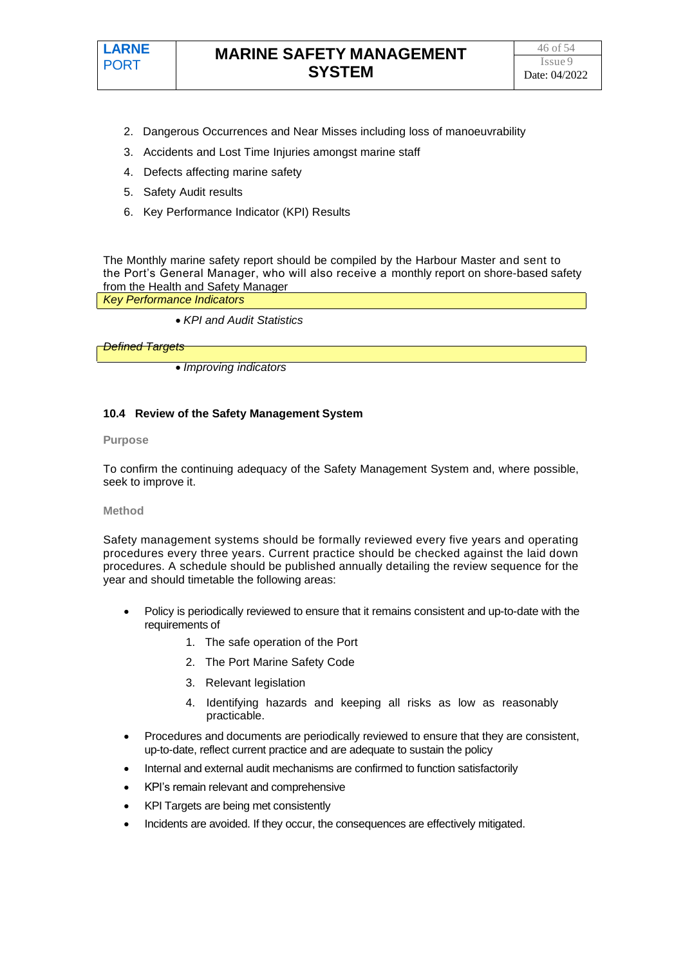

- 2. Dangerous Occurrences and Near Misses including loss of manoeuvrability
- 3. Accidents and Lost Time Injuries amongst marine staff
- 4. Defects affecting marine safety
- 5. Safety Audit results
- 6. Key Performance Indicator (KPI) Results

The Monthly marine safety report should be compiled by the Harbour Master and sent to the Port's General Manager, who will also receive a monthly report on shore-based safety from the Health and Safety Manager

*Key Performance Indicators*

• *KPI and Audit Statistics*

*Defined Targets*

• *Improving indicators*

#### **10.4 Review of the Safety Management System**

#### **Purpose**

To confirm the continuing adequacy of the Safety Management System and, where possible, seek to improve it.

#### **Method**

Safety management systems should be formally reviewed every five years and operating procedures every three years. Current practice should be checked against the laid down procedures. A schedule should be published annually detailing the review sequence for the year and should timetable the following areas:

- Policy is periodically reviewed to ensure that it remains consistent and up-to-date with the requirements of
	- 1. The safe operation of the Port
	- 2. The Port Marine Safety Code
	- 3. Relevant legislation
	- 4. Identifying hazards and keeping all risks as low as reasonably practicable.
- Procedures and documents are periodically reviewed to ensure that they are consistent, up-to-date, reflect current practice and are adequate to sustain the policy
- Internal and external audit mechanisms are confirmed to function satisfactorily
- KPI's remain relevant and comprehensive
- KPI Targets are being met consistently
- Incidents are avoided. If they occur, the consequences are effectively mitigated.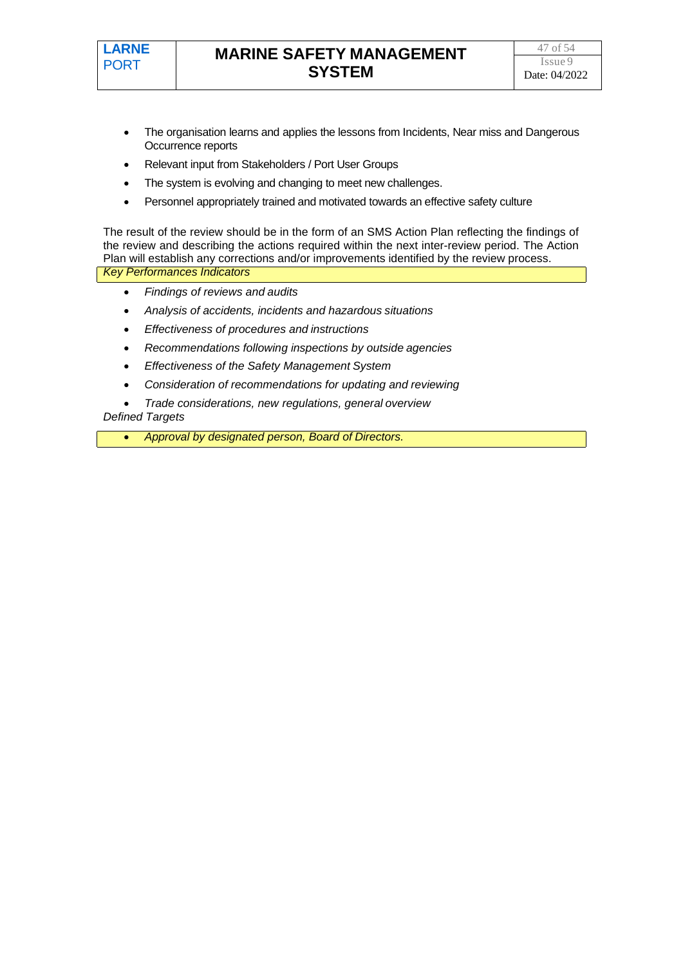

- The organisation learns and applies the lessons from Incidents, Near miss and Dangerous Occurrence reports
- Relevant input from Stakeholders / Port User Groups
- The system is evolving and changing to meet new challenges.
- Personnel appropriately trained and motivated towards an effective safety culture

The result of the review should be in the form of an SMS Action Plan reflecting the findings of the review and describing the actions required within the next inter-review period. The Action Plan will establish any corrections and/or improvements identified by the review process. *Key Performances Indicators*

- *Findings of reviews and audits*
- *Analysis of accidents, incidents and hazardous situations*
- *Effectiveness of procedures and instructions*
- *Recommendations following inspections by outside agencies*
- *Effectiveness of the Safety Management System*
- *Consideration of recommendations for updating and reviewing*
- *Trade considerations, new regulations, general overview*

#### *Defined Targets*

• *Approval by designated person, Board of Directors.*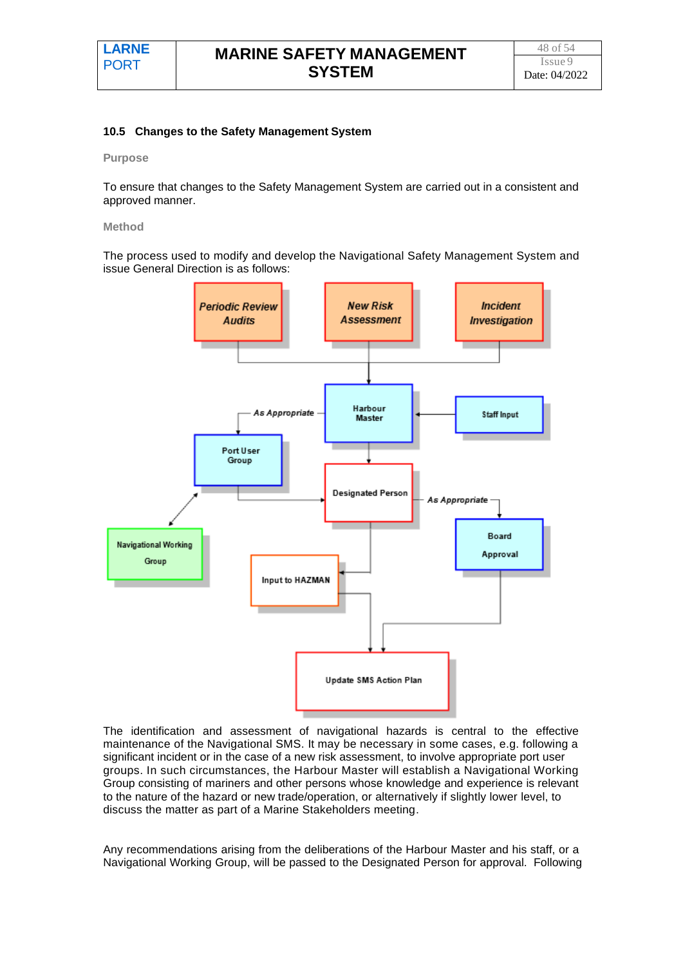#### **10.5 Changes to the Safety Management System**

#### **Purpose**

To ensure that changes to the Safety Management System are carried out in a consistent and approved manner.

#### **Method**

The process used to modify and develop the Navigational Safety Management System and issue General Direction is as follows:



The identification and assessment of navigational hazards is central to the effective maintenance of the Navigational SMS. It may be necessary in some cases, e.g. following a significant incident or in the case of a new risk assessment, to involve appropriate port user groups. In such circumstances, the Harbour Master will establish a Navigational Working Group consisting of mariners and other persons whose knowledge and experience is relevant to the nature of the hazard or new trade/operation, or alternatively if slightly lower level, to discuss the matter as part of a Marine Stakeholders meeting.

Any recommendations arising from the deliberations of the Harbour Master and his staff, or a Navigational Working Group, will be passed to the Designated Person for approval. Following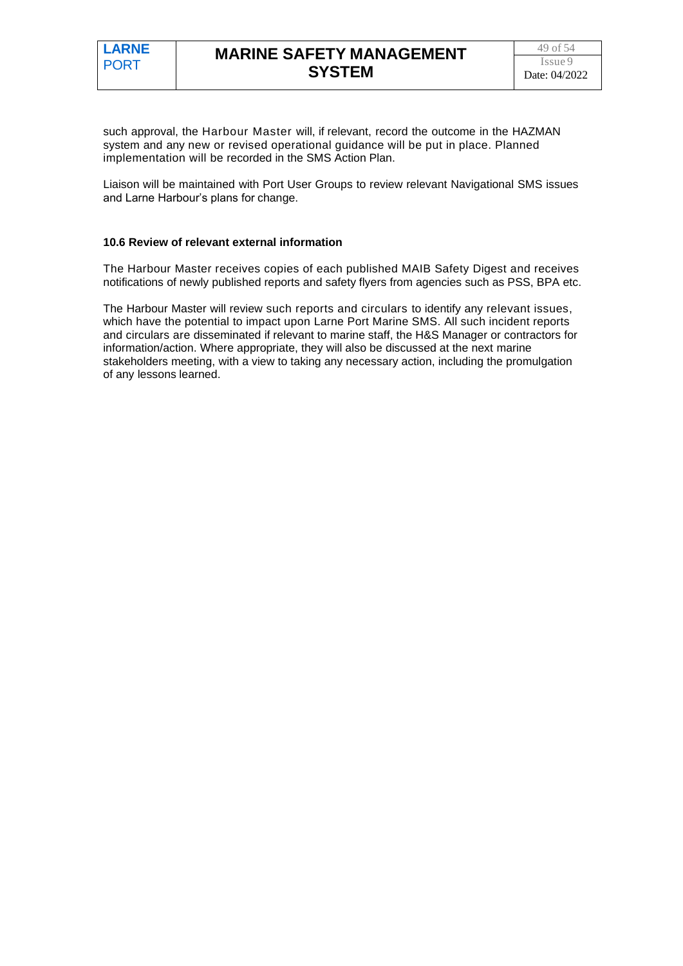such approval, the Harbour Master will, if relevant, record the outcome in the HAZMAN system and any new or revised operational guidance will be put in place. Planned implementation will be recorded in the SMS Action Plan.

Liaison will be maintained with Port User Groups to review relevant Navigational SMS issues and Larne Harbour's plans for change.

#### **10.6 Review of relevant external information**

The Harbour Master receives copies of each published MAIB Safety Digest and receives notifications of newly published reports and safety flyers from agencies such as PSS, BPA etc.

The Harbour Master will review such reports and circulars to identify any relevant issues, which have the potential to impact upon Larne Port Marine SMS. All such incident reports and circulars are disseminated if relevant to marine staff, the H&S Manager or contractors for information/action. Where appropriate, they will also be discussed at the next marine stakeholders meeting, with a view to taking any necessary action, including the promulgation of any lessons learned.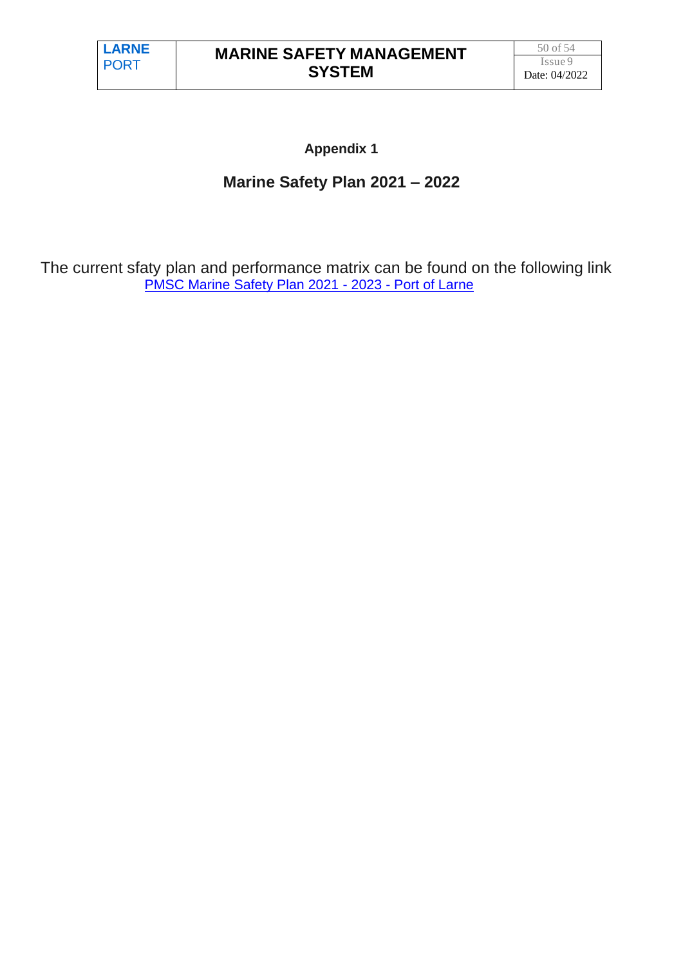# **Appendix 1**

# **Marine Safety Plan 2021 – 2022**

The current sfaty plan and performance matrix can be found on the following link [PMSC Marine Safety Plan 2021 -](https://www.portoflarne.co.uk/pmsc-marine-safety-plan-2021-2023/) 2023 - Port of Larne